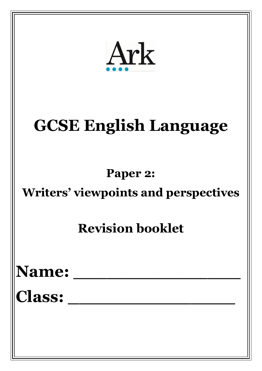| Ark                                                                                       |
|-------------------------------------------------------------------------------------------|
| <b>GCSE English Language</b>                                                              |
| <b>Paper 2:</b><br><b>Writers' viewpoints and perspectives</b><br><b>Revision booklet</b> |
| $\  \mathbf{Name:}$<br><b>Class:</b>                                                      |

 $\mathbf{r}$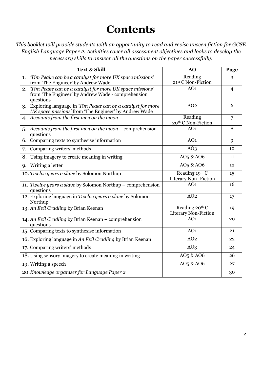# **Contents**

*This booklet will provide students with an opportunity to read and revise unseen fiction for GCSE English Language Paper 2. Activities cover all assessment objectives and looks to develop the necessary skills to answer all the questions on the paper successfully.* 

| <b>Text &amp; Skill</b>                                                                                                           | AO                                            | Page           |
|-----------------------------------------------------------------------------------------------------------------------------------|-----------------------------------------------|----------------|
| "Tim Peake can be a catalyst for more UK space missions"<br>1.<br>from 'The Engineer' by Andrew Wade                              | Reading<br>21st C Non-Fiction                 | 3              |
| 'Tim Peake can be a catalyst for more UK space missions'<br>2.<br>from 'The Engineer' by Andrew Wade - comprehension<br>questions | AO1                                           | $\overline{4}$ |
| 3. Exploring language in 'Tim Peake can be a catalyst for more<br>UK space missions' from 'The Engineer' by Andrew Wade           | AO <sub>2</sub>                               | 6              |
| 4. Accounts from the first men on the moon                                                                                        | Reading<br>20th C Non-Fiction                 | $\overline{7}$ |
| 5. Accounts from the first men on the moon – comprehension<br>questions                                                           | AO1                                           | 8              |
| 6. Comparing texts to synthesise information                                                                                      | AO1                                           | 9              |
| 7. Comparing writers' methods                                                                                                     | AO <sub>3</sub>                               | 10             |
| 8. Using imagery to create meaning in writing                                                                                     | AO <sub>5</sub> & AO <sub>6</sub>             | 11             |
| 9. Writing a letter                                                                                                               | AO <sub>5</sub> & AO <sub>6</sub>             | 12             |
| 10. Twelve years a slave by Solomon Northup                                                                                       | Reading 19th C<br>Literary Non-Fiction        | 15             |
| 11. Twelve years a slave by Solomon Northup – comprehension<br>questions                                                          | AO1                                           | 16             |
| 12. Exploring language in Twelve years a slave by Solomon<br>Northup                                                              | AO <sub>2</sub>                               | 17             |
| 13. An Evil Cradling by Brian Keenan                                                                                              | Reading 20th C<br><b>Literary Non-Fiction</b> | 19             |
| 14. An Evil Cradling by Brian Keenan – comprehension<br>questions                                                                 | AO1                                           | 20             |
| 15. Comparing texts to synthesise information                                                                                     | AO1                                           | 21             |
| 16. Exploring language in An Evil Cradling by Brian Keenan                                                                        | AO2                                           | 22             |
| 17. Comparing writers' methods                                                                                                    | AO <sub>3</sub>                               | 24             |
| 18. Using sensory imagery to create meaning in writing                                                                            | AO <sub>5</sub> & AO <sub>6</sub>             | 26             |
| 19. Writing a speech                                                                                                              | AO <sub>5</sub> & AO <sub>6</sub>             | 27             |
| 20. Knowledge organiser for Language Paper 2                                                                                      |                                               | 30             |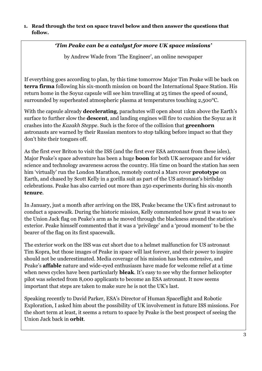# **1. Read through the text on space travel below and then answer the questions that follow.**

# *'Tim Peake can be a catalyst for more UK space missions'*

by Andrew Wade from 'The Engineer', an online newspaper

If everything goes according to plan, by this time tomorrow Major Tim Peake will be back on **terra firma** following his six-month mission on board the International Space Station. His return home in the Soyuz capsule will see him travelling at 25 times the speed of sound, surrounded by superheated atmospheric plasma at temperatures touching 2,500°C.

With the capsule already **decelerating**, parachutes will open about 11km above the Earth's surface to further slow the **descent**, and landing engines will fire to cushion the Soyuz as it crashes into the *Kazakh Steppe*. Such is the force of the collision that **greenhorn** astronauts are warned by their Russian mentors to stop talking before impact so that they don't bite their tongues off.

As the first ever Briton to visit the ISS (and the first ever ESA astronaut from these isles), Major Peake's space adventure has been a huge **boon** for both UK aerospace and for wider science and technology awareness across the country. His time on board the station has seen him 'virtually' run the London Marathon, remotely control a Mars rover **prototype** on Earth, and chased by Scott Kelly in a gorilla suit as part of the US astronaut's birthday celebrations. Peake has also carried out more than 250 experiments during his six-month **tenure**.

In January, just a month after arriving on the ISS, Peake became the UK's first astronaut to conduct a spacewalk. During the historic mission, Kelly commented how great it was to see the Union Jack flag on Peake's arm as he moved through the blackness around the station's exterior. Peake himself commented that it was a 'privilege' and a 'proud moment' to be the bearer of the flag on its first spacewalk.

The exterior work on the ISS was cut short due to a helmet malfunction for US astronaut Tim Kopra, but those images of Peake in space will last forever, and their power to inspire should not be underestimated. Media coverage of his mission has been extensive, and Peake's **affable** nature and wide-eyed enthusiasm have made for welcome relief at a time when news cycles have been particularly **bleak**. It's easy to see why the former helicopter pilot was selected from 8,000 applicants to become an ESA astronaut. It now seems important that steps are taken to make sure he is not the UK's last.

Speaking recently to David Parker, ESA's Director of Human Spaceflight and Robotic Exploration, I asked him about the possibility of UK involvement in future ISS missions. For the short term at least, it seems a return to space by Peake is the best prospect of seeing the Union Jack back in **orbit**.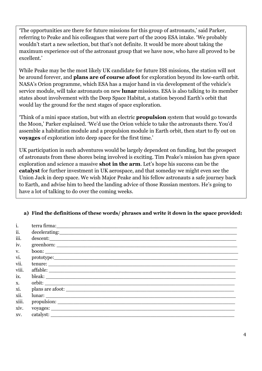'The opportunities are there for future missions for this group of astronauts,' said Parker, referring to Peake and his colleagues that were part of the 2009 ESA intake. 'We probably wouldn't start a new selection, but that's not definite. It would be more about taking the maximum experience out of the astronaut group that we have now, who have all proved to be excellent.'

While Peake may be the most likely UK candidate for future ISS missions, the station will not be around forever, and **plans are of course afoot** for exploration beyond its low-earth orbit. NASA's Orion programme, which ESA has a major hand in via development of the vehicle's service module, will take astronauts on new **lunar** missions. ESA is also talking to its member states about involvement with the Deep Space Habitat, a station beyond Earth's orbit that would lay the ground for the next stages of space exploration.

'Think of a mini space station, but with an electric **propulsion** system that would go towards the Moon,' Parker explained. 'We'd use the Orion vehicle to take the astronauts there. You'd assemble a habitation module and a propulsion module in Earth orbit, then start to fly out on **voyages** of exploration into deep space for the first time.'

UK participation in such adventures would be largely dependent on funding, but the prospect of astronauts from these shores being involved is exciting. Tim Peake's mission has given space exploration and science a massive **shot in the arm**. Let's hope his success can be the **catalyst** for further investment in UK aerospace, and that someday we might even see the Union Jack in deep space. We wish Major Peake and his fellow astronauts a safe journey back to Earth, and advise him to heed the landing advice of those Russian mentors. He's going to have a lot of talking to do over the coming weeks.

| i.    | terra firma: and a series of the series of the series of the series of the series of the series of the series of the series of the series of the series of the series of the series of the series of the series of the series                                                                                                                                                                                                                                                                                                                                                                                                                  |
|-------|------------------------------------------------------------------------------------------------------------------------------------------------------------------------------------------------------------------------------------------------------------------------------------------------------------------------------------------------------------------------------------------------------------------------------------------------------------------------------------------------------------------------------------------------------------------------------------------------------------------------------------------------|
| ii.   |                                                                                                                                                                                                                                                                                                                                                                                                                                                                                                                                                                                                                                                |
| iii.  |                                                                                                                                                                                                                                                                                                                                                                                                                                                                                                                                                                                                                                                |
| iv.   | greenhorn: $\qquad \qquad$                                                                                                                                                                                                                                                                                                                                                                                                                                                                                                                                                                                                                     |
| v.    |                                                                                                                                                                                                                                                                                                                                                                                                                                                                                                                                                                                                                                                |
| vi.   | $\text{prototype:}\underline{\hspace{2.5cm}}% \begin{minipage}{0.9\linewidth} \[ \includegraphics[width=0.9\linewidth]{images/0.9\linewidth} \] \includegraphics[width=0.9\linewidth]{images/0.9\linewidth} \] \includegraphics[width=0.9\linewidth]{images/0.9\linewidth} \] \includegraphics[width=0.9\linewidth]{images/0.9\linewidth} \] \includegraphics[width=0.9\linewidth]{images/0.9\linewidth} \] \includegraphics[width=0.9\linewidth]{images/0.9\linewidth} \] \includegraphics[width=0.9\linewidth]{images/0.9\linewidth} \] \includegraphics[width=0.9\linewidth]{images/0.9\linewidth} \] \includegraphics[width=0.9\linewidth$ |
| vii.  | tenure:                                                                                                                                                                                                                                                                                                                                                                                                                                                                                                                                                                                                                                        |
| viii. | $\text{affable:}\footnotesize\begin{picture}(15,10) \put(0,0){\dashbox{0.5}(10,0){ }} \put(15,0){\circle{10}} \put(15,0){\circle{10}} \put(15,0){\circle{10}} \put(15,0){\circle{10}} \put(15,0){\circle{10}} \put(15,0){\circle{10}} \put(15,0){\circle{10}} \put(15,0){\circle{10}} \put(15,0){\circle{10}} \put(15,0){\circle{10}} \put(15,0){\circle{10}} \put(15,0){\circle{10}} \put(15,0){\circle$                                                                                                                                                                                                                                      |
| ix.   |                                                                                                                                                                                                                                                                                                                                                                                                                                                                                                                                                                                                                                                |
| X.    |                                                                                                                                                                                                                                                                                                                                                                                                                                                                                                                                                                                                                                                |
| xi.   |                                                                                                                                                                                                                                                                                                                                                                                                                                                                                                                                                                                                                                                |
| xii.  |                                                                                                                                                                                                                                                                                                                                                                                                                                                                                                                                                                                                                                                |
| xiii. |                                                                                                                                                                                                                                                                                                                                                                                                                                                                                                                                                                                                                                                |
| xiv.  |                                                                                                                                                                                                                                                                                                                                                                                                                                                                                                                                                                                                                                                |
| XV.   |                                                                                                                                                                                                                                                                                                                                                                                                                                                                                                                                                                                                                                                |

# **a) Find the definitions of these words/ phrases and write it down in the space provided:**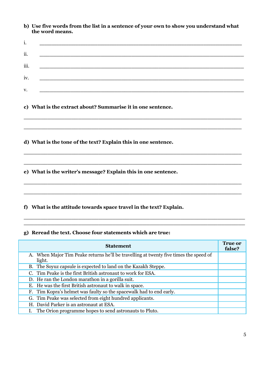**b) Use five words from the list in a sentence of your own to show you understand what the word means.**

| i.                                                                                                                     |                                      |
|------------------------------------------------------------------------------------------------------------------------|--------------------------------------|
| ii.                                                                                                                    |                                      |
|                                                                                                                        |                                      |
| iii.                                                                                                                   |                                      |
| iv.                                                                                                                    |                                      |
| v.<br>and the control of the control of the control of the control of the control of the control of the control of the |                                      |
|                                                                                                                        |                                      |
| c) What is the extract about? Summarise it in one sentence.                                                            |                                      |
|                                                                                                                        |                                      |
|                                                                                                                        |                                      |
|                                                                                                                        |                                      |
| d) What is the tone of the text? Explain this in one sentence.                                                         |                                      |
|                                                                                                                        |                                      |
|                                                                                                                        |                                      |
| e) What is the writer's message? Explain this in one sentence.                                                         |                                      |
|                                                                                                                        |                                      |
|                                                                                                                        |                                      |
|                                                                                                                        |                                      |
| f) What is the attitude towards space travel in the text? Explain.                                                     |                                      |
|                                                                                                                        |                                      |
|                                                                                                                        |                                      |
| g) Reread the text. Choose four statements which are true:                                                             |                                      |
| <b>Statement</b>                                                                                                       | <b>True or</b>                       |
|                                                                                                                        | $f_{\alpha}$ $1_{\alpha}$ , $\Omega$ |

| <b>Statement</b>                                                                                | 11 uc vi<br>false? |
|-------------------------------------------------------------------------------------------------|--------------------|
| A. When Major Tim Peake returns he'll be travelling at twenty five times the speed of<br>light. |                    |
| B. The Soyuz capsule is expected to land on the Kazakh Steppe.                                  |                    |
| C. Tim Peake is the first British astronaut to work for ESA.                                    |                    |
| D. He ran the London marathon in a gorilla suit.                                                |                    |
| E. He was the first British astronaut to walk in space.                                         |                    |
| F. Tim Kopra's helmet was faulty so the spacewalk had to end early.                             |                    |
| G. Tim Peake was selected from eight hundred applicants.                                        |                    |
| H. David Parker is an astronaut at ESA.                                                         |                    |
| The Orion programme hopes to send astronauts to Pluto.                                          |                    |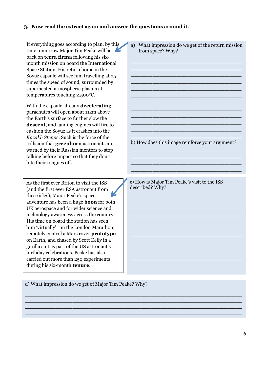#### **3. Now read the extract again and answer the questions around it.**

If everything goes according to plan, by this time tomorrow Major Tim Peake will be back on **terra firma** following his sixmonth mission on board the International Space Station. His return home in the Soyuz capsule will see him travelling at 25 times the speed of sound, surrounded by superheated atmospheric plasma at temperatures touching 2,500°C.

With the capsule already **decelerating**, parachutes will open about 11km above the Earth's surface to further slow the **descent**, and landing engines will fire to cushion the Soyuz as it crashes into the *Kazakh Steppe*. Such is the force of the collision that **greenhorn** astronauts are warned by their Russian mentors to stop talking before impact so that they don't bite their tongues off.

As the first ever Briton to visit the ISS (and the first ever ESA astronaut from these isles), Major Peake's space adventure has been a huge **boon** for both UK aerospace and for wider science and technology awareness across the country. His time on board the station has seen him 'virtually' run the London Marathon, remotely control a Mars rover **prototype** on Earth, and chased by Scott Kelly in a gorilla suit as part of the US astronaut's birthday celebrations. Peake has also carried out more than 250 experiments during his six-month **tenure**.

a) What impression do we get of the return mission from space? Why?

\_\_\_\_\_\_\_\_\_\_\_\_\_\_\_\_\_\_\_\_\_\_\_\_\_\_\_\_\_\_\_\_\_\_\_\_\_\_\_\_\_\_\_\_\_\_ \_\_\_\_\_\_\_\_\_\_\_\_\_\_\_\_\_\_\_\_\_\_\_\_\_\_\_\_\_\_\_\_\_\_\_\_\_\_\_\_\_\_\_\_\_\_ \_\_\_\_\_\_\_\_\_\_\_\_\_\_\_\_\_\_\_\_\_\_\_\_\_\_\_\_\_\_\_\_\_\_\_\_\_\_\_\_\_\_\_\_\_\_ \_\_\_\_\_\_\_\_\_\_\_\_\_\_\_\_\_\_\_\_\_\_\_\_\_\_\_\_\_\_\_\_\_\_\_\_\_\_\_\_\_\_\_\_\_\_ \_\_\_\_\_\_\_\_\_\_\_\_\_\_\_\_\_\_\_\_\_\_\_\_\_\_\_\_\_\_\_\_\_\_\_\_\_\_\_\_\_\_\_\_\_\_ \_\_\_\_\_\_\_\_\_\_\_\_\_\_\_\_\_\_\_\_\_\_\_\_\_\_\_\_\_\_\_\_\_\_\_\_\_\_\_\_\_\_\_\_\_\_ \_\_\_\_\_\_\_\_\_\_\_\_\_\_\_\_\_\_\_\_\_\_\_\_\_\_\_\_\_\_\_\_\_\_\_\_\_\_\_\_\_\_\_\_\_\_ \_\_\_\_\_\_\_\_\_\_\_\_\_\_\_\_\_\_\_\_\_\_\_\_\_\_\_\_\_\_\_\_\_\_\_\_\_\_\_\_\_\_\_\_\_\_ \_\_\_\_\_\_\_\_\_\_\_\_\_\_\_\_\_\_\_\_\_\_\_\_\_\_\_\_\_\_\_\_\_\_\_\_\_\_\_\_\_\_\_\_\_\_ \_\_\_\_\_\_\_\_\_\_\_\_\_\_\_\_\_\_\_\_\_\_\_\_\_\_\_\_\_\_\_\_\_\_\_\_\_\_\_\_\_\_\_\_\_\_ \_\_\_\_\_\_\_\_\_\_\_\_\_\_\_\_\_\_\_\_\_\_\_\_\_\_\_\_\_\_\_\_\_\_\_\_\_\_\_\_\_\_\_\_\_\_

\_\_\_\_\_\_\_\_\_\_\_\_\_\_\_\_\_\_\_\_\_\_\_\_\_\_\_\_\_\_\_\_\_\_\_\_\_\_\_\_\_\_\_\_\_\_ b) How does this image reinforce your argument? \_\_\_\_\_\_\_\_\_\_\_\_\_\_\_\_\_\_\_\_\_\_\_\_\_\_\_\_\_\_\_\_\_\_\_\_\_\_\_\_\_\_\_\_\_\_

\_\_\_\_\_\_\_\_\_\_\_\_\_\_\_\_\_\_\_\_\_\_\_\_\_\_\_\_\_\_\_\_\_\_\_\_\_\_\_\_\_\_\_\_\_\_ \_\_\_\_\_\_\_\_\_\_\_\_\_\_\_\_\_\_\_\_\_\_\_\_\_\_\_\_\_\_\_\_\_\_\_\_\_\_\_\_\_\_\_\_\_\_ \_\_\_\_\_\_\_\_\_\_\_\_\_\_\_\_\_\_\_\_\_\_\_\_\_\_\_\_\_\_\_\_\_\_\_\_\_\_\_\_\_\_\_\_\_\_

\_\_\_\_\_\_\_\_\_\_\_\_\_\_\_\_\_\_\_\_\_\_\_\_\_\_\_\_\_\_\_\_\_ \_\_\_\_\_\_\_\_\_\_\_\_\_\_\_\_\_\_\_\_\_\_\_\_\_\_\_\_\_\_\_\_\_ \_\_\_\_\_\_\_\_\_\_\_\_\_\_\_\_\_\_\_\_\_\_\_\_\_\_\_\_\_\_\_\_\_ \_\_\_\_\_\_\_\_\_\_\_\_\_\_\_\_\_\_\_\_\_\_\_\_\_\_\_\_\_\_\_\_\_ \_\_\_\_\_\_\_\_\_\_\_\_\_\_\_\_\_\_\_\_\_\_\_\_\_\_\_\_\_\_\_\_\_ \_\_\_\_\_\_\_\_\_\_\_\_\_\_\_\_\_\_\_\_\_\_\_\_\_\_\_\_\_\_\_\_\_ \_\_\_\_\_\_\_\_\_\_\_\_\_\_\_\_\_\_\_\_\_\_\_\_\_\_\_\_\_\_\_\_\_ \_\_\_\_\_\_\_\_\_\_\_\_\_\_\_\_\_\_\_\_\_\_\_\_\_\_\_\_\_\_\_\_\_ \_\_\_\_\_\_\_\_\_\_\_\_\_\_\_\_\_\_\_\_\_\_\_\_\_\_\_\_\_\_\_\_\_ \_\_\_\_\_\_\_\_\_\_\_\_\_\_\_\_\_\_\_\_\_\_\_\_\_\_\_\_\_\_\_\_\_ \_\_\_\_\_\_\_\_\_\_\_\_\_\_\_\_\_\_\_\_\_\_\_\_\_\_\_\_\_\_\_\_\_ \_\_\_\_\_\_\_\_\_\_\_\_\_\_\_\_\_\_\_\_\_\_\_\_\_\_\_\_\_\_\_\_\_ \_\_\_\_\_\_\_\_\_\_\_\_\_\_\_\_\_\_\_\_\_\_\_\_\_\_\_\_\_\_\_\_\_

c) How is Major Tim Peake's visit to the ISS described? Why?

d) What impression do we get of Major Tim Peake? Why?  $_{\alpha}$  ) Why  $^{\circ}$  $\ldots$   $\ldots$   $\ldots$   $\ldots$   $\ldots$   $\ldots$   $\ldots$   $\ldots$   $\ldots$   $\ldots$   $\ldots$   $\ldots$   $\ldots$   $\ldots$   $\ldots$   $\ldots$   $\ldots$   $\ldots$   $\ldots$   $\ldots$   $\ldots$   $\ldots$   $\ldots$   $\ldots$   $\ldots$   $\ldots$   $\ldots$   $\ldots$   $\ldots$   $\ldots$   $\ldots$   $\ldots$   $\ldots$   $\ldots$   $\ldots$   $\ldots$   $\ldots$ 

\_\_\_\_\_\_\_\_\_\_\_\_\_\_\_\_\_\_\_\_\_\_\_\_\_\_\_\_\_\_\_\_\_\_\_\_\_\_\_\_\_\_\_\_\_\_\_\_\_\_\_\_\_\_\_\_\_\_\_\_\_\_\_\_  $\_$  , and the set of the set of the set of the set of the set of the set of the set of the set of the set of the set of the set of the set of the set of the set of the set of the set of the set of the set of the set of th  $\_$  , and the set of the set of the set of the set of the set of the set of the set of the set of the set of the set of the set of the set of the set of the set of the set of the set of the set of the set of the set of th \_\_\_\_\_\_\_\_\_\_\_\_\_\_\_\_\_\_\_\_\_\_\_\_\_\_\_\_\_\_\_\_\_\_\_\_\_\_\_\_\_\_\_\_\_\_\_\_\_\_\_\_\_\_\_\_\_\_\_\_\_\_\_\_

 $\mathcal{L}_\text{max}$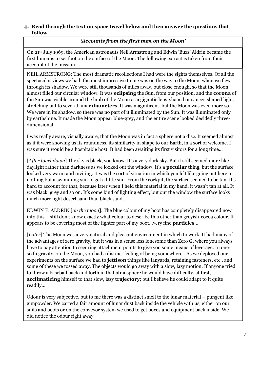# **4. Read through the text on space travel below and then answer the questions that follow.**

# *'Accounts from the first men on the Moon'*

On 21st July 1969, the American astronauts Neil Armstrong and Edwin 'Buzz' Aldrin became the first humans to set foot on the surface of the Moon. The following extract is taken from their account of the mission.

NEIL ARMSTRONG: The most dramatic recollections I had were the sights themselves. Of all the spectacular views we had, the most impressive to me was on the way to the Moon, when we flew through its shadow. We were still thousands of miles away, but close enough, so that the Moon almost filled our circular window. It was **eclipsing** the Sun, from our position, and the **corona** of the Sun was visible around the limb of the Moon as a gigantic lens-shaped or saucer-shaped light, stretching out to several lunar **diameters**. It was magnificent, but the Moon was even more so. We were in its shadow, so there was no part of it illuminated by the Sun. It was illuminated only by earthshine. It made the Moon appear blue-grey, and the entire scene looked decidedly threedimensional.

I was really aware, visually aware, that the Moon was in fact a sphere not a disc. It seemed almost as if it were showing us its roundness, its similarity in shape to our Earth, in a sort of welcome. I was sure it would be a hospitable host. It had been awaiting its first visitors for a long time...

[*After touchdown*] The sky is black, you know. It's a very dark sky. But it still seemed more like daylight rather than darkness as we looked out the window. It's a **peculiar** thing, but the surface looked very warm and inviting. It was the sort of situation in which you felt like going out here in nothing but a swimming suit to get a little sun. From the cockpit, the surface seemed to be tan. It's hard to account for that, because later when I held this material in my hand, it wasn't tan at all. It was black, grey and so on. It's some kind of lighting effect, but out the window the surface looks much more light desert sand than black sand...

EDWIN E. ALDRIN [*on the moon*]: The blue colour of my boot has completely disappeared now into this – still don't know exactly what colour to describe this other than greyish-cocoa colour. It appears to be covering most of the lighter part of my boot…very fine **particles**…

[*Later*] The Moon was a very natural and pleasant environment in which to work. It had many of the advantages of zero gravity, but it was in a sense less lonesome than Zero G, where you always have to pay attention to securing attachment points to give you some means of leverage. In onesixth gravity, on the Moon, you had a distinct feeling of being somewhere…As we deployed our experiments on the surface we had to **jettison** things like lanyards, retaining fasteners, etc., and some of these we tossed away. The objects would go away with a slow, lazy motion. If anyone tried to throw a baseball back and forth in that atmosphere he would have difficulty, at first, **acclimatizing** himself to that slow, lazy **trajectory**; but I believe he could adapt to it quite readily…

Odour is very subjective, but to me there was a distinct smell to the lunar material – pungent like gunpowder. We carted a fair amount of lunar dust back inside the vehicle with us, either on our suits and boots or on the conveyor system we used to get boxes and equipment back inside. We did notice the odour right away.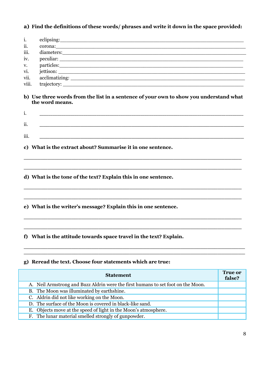# a) Find the definitions of these words/phrases and write it down in the space provided:

| i.    | eclipsing:                                                                                                                                                                                                                                                                                                                                                                                                                                             |
|-------|--------------------------------------------------------------------------------------------------------------------------------------------------------------------------------------------------------------------------------------------------------------------------------------------------------------------------------------------------------------------------------------------------------------------------------------------------------|
| ii.   | corona:                                                                                                                                                                                                                                                                                                                                                                                                                                                |
| iii.  |                                                                                                                                                                                                                                                                                                                                                                                                                                                        |
| iv.   |                                                                                                                                                                                                                                                                                                                                                                                                                                                        |
| V.    |                                                                                                                                                                                                                                                                                                                                                                                                                                                        |
| vi.   | $\begin{tabular}{c} jettison: \hspace*{2.5cm} \begin{tabular}{@{}c@{}} \hline \multicolumn{3}{@{\hspace{3mm}}c@{}} \multicolumn{3}{@{\hspace{3mm}}c@{}} \multicolumn{3}{@{\hspace{3mm}}c@{}} \multicolumn{3}{@{\hspace{3mm}}c@{}} \multicolumn{3}{@{\hspace{3mm}}c@{}} \multicolumn{3}{@{\hspace{3mm}}c@{}} \multicolumn{3}{@{\hspace{3mm}}c@{}} \multicolumn{3}{@{\hspace{3mm}}c@{}} \multicolumn{3}{@{\hspace{3mm}}c@{}} \multicolumn{3}{@{\hspace{$ |
| vii.  |                                                                                                                                                                                                                                                                                                                                                                                                                                                        |
| viii. | trajectory:                                                                                                                                                                                                                                                                                                                                                                                                                                            |

### b) Use three words from the list in a sentence of your own to show you understand what the word means.

| . .                  |  |
|----------------------|--|
| $\cdot \cdot$<br>11. |  |
| iii.                 |  |
|                      |  |

c) What is the extract about? Summarise it in one sentence.

d) What is the tone of the text? Explain this in one sentence.

e) What is the writer's message? Explain this in one sentence.

f) What is the attitude towards space travel in the text? Explain.

### g) Reread the text. Choose four statements which are true:

| <b>Statement</b>                                                                 | <b>True or</b><br>false? |
|----------------------------------------------------------------------------------|--------------------------|
| A. Neil Armstrong and Buzz Aldrin were the first humans to set foot on the Moon. |                          |
| B. The Moon was illuminated by earthshine.                                       |                          |
| C. Aldrin did not like working on the Moon.                                      |                          |
| D. The surface of the Moon is covered in black-like sand.                        |                          |
| E. Objects move at the speed of light in the Moon's atmosphere.                  |                          |
| F. The lunar material smelled strongly of gunpowder.                             |                          |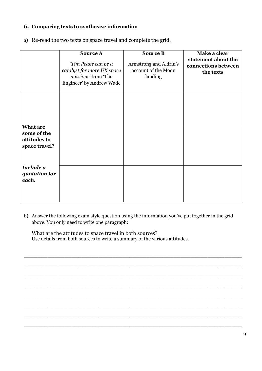# **6. Comparing texts to synthesise information**

*each.*

- **Source A** *'Tim Peake can be a catalyst for more UK space missions'* from 'The Engineer' by Andrew Wade **Source B** Armstrong and Aldrin's account of the Moon landing **Make a clear statement about the connections between the texts What are some of the attitudes to space travel?** *Include a quotation for*
- a) Re-read the two texts on space travel and complete the grid.

b) Answer the following exam style question using the information you've put together in the grid above. You only need to write one paragraph:

**\_\_\_\_\_\_\_\_\_\_\_\_\_\_\_\_\_\_\_\_\_\_\_\_\_\_\_\_\_\_\_\_\_\_\_\_\_\_\_\_\_\_\_\_\_\_\_\_\_\_\_\_\_\_\_\_\_\_\_\_\_\_\_\_**

**\_\_\_\_\_\_\_\_\_\_\_\_\_\_\_\_\_\_\_\_\_\_\_\_\_\_\_\_\_\_\_\_\_\_\_\_\_\_\_\_\_\_\_\_\_\_\_\_\_\_\_\_\_\_\_\_\_\_\_\_\_\_\_\_**

**\_\_\_\_\_\_\_\_\_\_\_\_\_\_\_\_\_\_\_\_\_\_\_\_\_\_\_\_\_\_\_\_\_\_\_\_\_\_\_\_\_\_\_\_\_\_\_\_\_\_\_\_\_\_\_\_\_\_\_\_\_\_\_\_**

**\_\_\_\_\_\_\_\_\_\_\_\_\_\_\_\_\_\_\_\_\_\_\_\_\_\_\_\_\_\_\_\_\_\_\_\_\_\_\_\_\_\_\_\_\_\_\_\_\_\_\_\_\_\_\_\_\_\_\_\_\_\_\_\_**

**\_\_\_\_\_\_\_\_\_\_\_\_\_\_\_\_\_\_\_\_\_\_\_\_\_\_\_\_\_\_\_\_\_\_\_\_\_\_\_\_\_\_\_\_\_\_\_\_\_\_\_\_\_\_\_\_\_\_\_\_\_\_\_\_**

**\_\_\_\_\_\_\_\_\_\_\_\_\_\_\_\_\_\_\_\_\_\_\_\_\_\_\_\_\_\_\_\_\_\_\_\_\_\_\_\_\_\_\_\_\_\_\_\_\_\_\_\_\_\_\_\_\_\_\_\_\_\_\_\_**

**\_\_\_\_\_\_\_\_\_\_\_\_\_\_\_\_\_\_\_\_\_\_\_\_\_\_\_\_\_\_\_\_\_\_\_\_\_\_\_\_\_\_\_\_\_\_\_\_\_\_\_\_\_\_\_\_\_\_\_\_\_\_\_\_**

**\_\_\_\_\_\_\_\_\_\_\_\_\_\_\_\_\_\_\_\_\_\_\_\_\_\_\_\_\_\_\_\_\_\_\_\_\_\_\_\_\_\_\_\_\_\_\_\_\_\_\_\_\_\_\_\_\_\_\_\_\_\_\_\_**

What are the attitudes to space travel in both sources? Use details from both sources to write a summary of the various attitudes.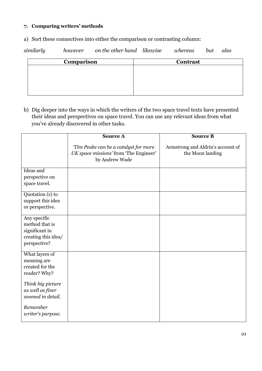# **7. Comparing writers' methods**

a) Sort these connectives into either the comparison or contrasting column:

| similarly | however | on the other hand likewise whereas but also |  |  |  |
|-----------|---------|---------------------------------------------|--|--|--|
|           |         |                                             |  |  |  |

| Comparison | <b>Contrast</b> |
|------------|-----------------|
|            |                 |
|            |                 |
|            |                 |
|            |                 |

b) Dig deeper into the ways in which the writers of the two space travel texts have presented their ideas and perspectives on space travel. You can use any relevant ideas from what you've already discovered in other tasks.

|                                                                                         | <b>Source A</b>                                                                                   | <b>Source B</b>                                       |
|-----------------------------------------------------------------------------------------|---------------------------------------------------------------------------------------------------|-------------------------------------------------------|
|                                                                                         | 'Tim Peake can be a catalyst for more<br>UK space missions' from 'The Engineer'<br>by Andrew Wade | Armstrong and Aldrin's account of<br>the Moon landing |
| Ideas and<br>perspective on<br>space travel.                                            |                                                                                                   |                                                       |
| Quotation (s) to<br>support this idea<br>or perspective.                                |                                                                                                   |                                                       |
| Any specific<br>method that is<br>significant in<br>creating this idea/<br>perspective? |                                                                                                   |                                                       |
| What layers of<br>meaning are<br>created for the<br>reader? Why?                        |                                                                                                   |                                                       |
| Think big picture<br>as well as finer<br>zoomed in detail.                              |                                                                                                   |                                                       |
| Remember<br>writer's purpose.                                                           |                                                                                                   |                                                       |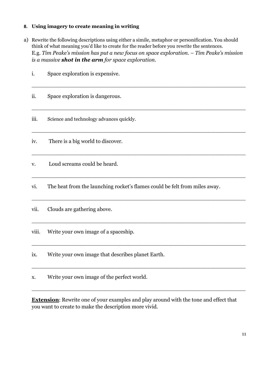# **8. Using imagery to create meaning in writing**

a) Rewrite the following descriptions using either a simile, metaphor or personification. You should think of what meaning you'd like to create for the reader before you rewrite the sentences. E.g. *Tim Peake's mission has put a new focus on space exploration. – Tim Peake's mission is a massive shot in the arm for space exploration.*

| i.    | Space exploration is expensive.                                            |
|-------|----------------------------------------------------------------------------|
| ii.   | Space exploration is dangerous.                                            |
| iii.  | Science and technology advances quickly.                                   |
| iv.   | There is a big world to discover.                                          |
| v.    | Loud screams could be heard.                                               |
| vi.   | The heat from the launching rocket's flames could be felt from miles away. |
| vii.  | Clouds are gathering above.                                                |
| viii. | Write your own image of a spaceship.                                       |
| ix.   | Write your own image that describes planet Earth.                          |
| X.    | Write your own image of the perfect world.                                 |
|       |                                                                            |

**Extension**: Rewrite one of your examples and play around with the tone and effect that you want to create to make the description more vivid.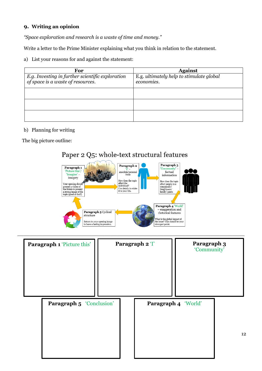# **9. Writing an opinion**

*"Space exploration and research is a waste of time and money."*

Write a letter to the Prime Minister explaining what you think in relation to the statement.

a) List your reasons for and against the statement:

| For                                                                                   | <b>Against</b>                                         |
|---------------------------------------------------------------------------------------|--------------------------------------------------------|
| E.g. Investing in further scientific exploration<br>of space is a waste of resources. | E.g. ultimately help to stimulate global<br>economies. |
|                                                                                       |                                                        |
|                                                                                       |                                                        |
|                                                                                       |                                                        |

### b) Planning for writing

The big picture outline:





 $\overline{\phantom{a}}$  , and the contribution of the contribution of the contribution of the contribution of the contribution of the contribution of the contribution of the contribution of the contribution of the contribution of the

| Paragraph 1 'Picture this' | Paragraph 2 T | Paragraph 3<br>'Community' |    |
|----------------------------|---------------|----------------------------|----|
| Paragraph 5 'Conclusion'   |               | Paragraph 4 'World'        | 12 |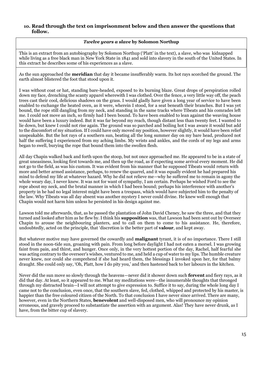#### **10. Read through the text on imprisonment below and then answer the questions that follow.**

#### *Twelve years a slave* **by Solomon Northup**

This is an extract from an autobiography by Solomon Northup ('Platt' in the text), a slave, who was kidnapped while living as a free black man in New York State in 1841 and sold into slavery in the south of the United States. In this extract he describes some of his experiences as a slave.

As the sun approached the **meridian** that day it became insufferably warm. Its hot rays scorched the ground. The earth almost blistered the foot that stood upon it.

I was without coat or hat, standing bare-headed, exposed to its burning blaze. Great drops of perspiration rolled down my face, drenching the scanty apparel wherewith I was clothed. Over the fence, a very little way off, the peach trees cast their cool, delicious shadows on the grass. I would gladly have given a long year of service to have been enabled to exchange the heated oven, as it were, wherein I stood, for a seat beneath their branches. But I was yet bound, the rope still dangling from my neck, and standing in the same tracks where Tibeats and his comrades left me. I could not move an inch, so firmly had I been bound. To have been enabled to lean against the weaving house would have been a luxury indeed. But it was far beyond my reach, though distant less than twenty feet. I wanted to lie down, but knew I could not rise again. The ground was so parched and boiling hot I was aware it would but add to the discomfort of my situation. If I could have only moved my position, however slightly, it would have been relief unspeakable. But the hot rays of a southern sun, beating all the long summer day on my bare head, produced not half the suffering I experienced from my aching limbs. My wrists and ankles, and the cords of my legs and arms began to swell, burying the rope that bound them into the swollen flesh.

All day Chapin walked back and forth upon the stoop, but not once approached me. He appeared to be in a state of great uneasiness, looking first towards me, and then up the road, as if expecting some arrival every moment. He did not go to the field, as was his custom. It was evident from his manner that he supposed Tibeats would return with more and better armed assistance, perhaps, to renew the quarrel, and it was equally evident he had prepared his mind to defend my life at whatever hazard. Why he did not relieve me—why he suffered me to remain in agony the whole weary day, I never knew. It was not for want of sympathy, I am certain. Perhaps he wished Ford to see the rope about my neck, and the brutal manner in which I had been bound; perhaps his interference with another's property in he had no legal interest might have been a trespass, which would have subjected him to the penalty of the law. Why Tibeats was all day absent was another mystery I never could divine. He knew well enough that Chapin would not harm him unless he persisted in his design against me.

Lawson told me afterwards, that, as he passed the plantation of John David Cheney, he saw the three, and that they turned and looked after him as he flew by. I think his **supposition** was, that Lawson had been sent out by Overseer Chapin to arouse the neighbouring planters, and to call on them to come to his assistance. He, therefore, undoubtedly, acted on the principle, that 'discretion is the better part of **valour**, and kept away.

But whatever motive may have governed the cowardly and **malignant** tyrant, it is of no importance. There I still stood in the noon-tide sun, groaning with pain. From long before daylight I had not eaten a morsel. I was growing faint from pain, and thirst, and hunger. Once only, in the very hottest portion of the day, Rachel, half fearful she was acting contrary to the overseer's wishes, ventured to me, and held a cup of water to my lips. The humble creature never knew, nor could she comprehend if she had heard them, the blessings I invoked upon her, for that balmy draught. She could only say, 'Oh, Platt, how I do pity you,' and then hastened back to her labours in the kitchen.

Never did the sun move so slowly through the heavens—never did it shower down such **fervent** and fiery rays, as it did that day. At least, so it appeared to me. What my meditations were—the innumerable thoughts that thronged through my distracted brain—I will not attempt to give expression to. Suffice it to say, during the whole long day I came not to the conclusion, even once, that the southern slave, fed, clothed, whipped and protected by his master, is happier than the free coloured citizen of the North. To that conclusion I have never since arrived. There are many, however, even in the Northern States, **benevolent** and well-disposed men, who will pronounce my opinion erroneous, and gravely proceed to substantiate the assertion with an argument. Alas! They have never drunk, as I have, from the bitter cup of slavery.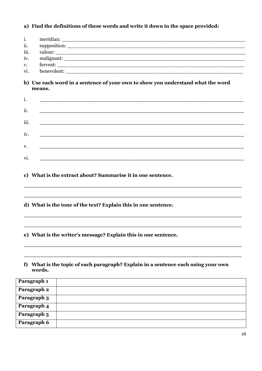# a) Find the definitions of these words and write it down in the space provided:

| i.   | meridian:   |
|------|-------------|
| ii.  |             |
| iii. |             |
| iv.  |             |
| V.   | fervent:    |
| vi.  | benevolent: |

#### b) Use each word in a sentence of your own to show you understand what the word means.

| i.   |                                                                                                                      |  |  |
|------|----------------------------------------------------------------------------------------------------------------------|--|--|
| ii.  |                                                                                                                      |  |  |
| iii. |                                                                                                                      |  |  |
| iv.  | <u> 1989 - Johann Barbara, martin amerikan basal dan berasal dan berasal dalam basal dan berasal dan berasal dan</u> |  |  |
| V.   |                                                                                                                      |  |  |
|      |                                                                                                                      |  |  |
| vi.  |                                                                                                                      |  |  |

#### c) What is the extract about? Summarise it in one sentence.

d) What is the tone of the text? Explain this in one sentence.

e) What is the writer's message? Explain this in one sentence.

#### f) What is the topic of each paragraph? Explain in a sentence each using your own words.

| Paragraph 1        |  |
|--------------------|--|
| <b>Paragraph 2</b> |  |
| Paragraph 3        |  |
| Paragraph 4        |  |
| Paragraph 5        |  |
| Paragraph 6        |  |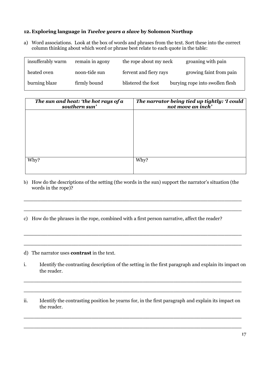# **12. Exploring language in** *Twelve years a slave* **by Solomon Northup**

a) Word associations. Look at the box of words and phrases from the text. Sort these into the correct column thinking about which word or phrase best relate to each quote in the table:

| insufferably warm | remain in agony | the rope about my neck | groaning with pain              |
|-------------------|-----------------|------------------------|---------------------------------|
| heated oven       | noon-tide sun   | fervent and fiery rays | growing faint from pain         |
| burning blaze     | firmly bound    | blistered the foot     | burying rope into swollen flesh |

| The narrator being tied up tightly: 'I could<br>not move an inch' |
|-------------------------------------------------------------------|
|                                                                   |
|                                                                   |
|                                                                   |
|                                                                   |
| Why?                                                              |
|                                                                   |

b) How do the descriptions of the setting (the words in the sun) support the narrator's situation (the words in the rope)?

**\_\_\_\_\_\_\_\_\_\_\_\_\_\_\_\_\_\_\_\_\_\_\_\_\_\_\_\_\_\_\_\_\_\_\_\_\_\_\_\_\_\_\_\_\_\_\_\_\_\_\_\_\_\_\_\_\_\_\_\_\_\_\_\_**

**\_\_\_\_\_\_\_\_\_\_\_\_\_\_\_\_\_\_\_\_\_\_\_\_\_\_\_\_\_\_\_\_\_\_\_\_\_\_\_\_\_\_\_\_\_\_\_\_\_\_\_\_\_\_\_\_\_\_\_\_\_\_\_\_**

**\_\_\_\_\_\_\_\_\_\_\_\_\_\_\_\_\_\_\_\_\_\_\_\_\_\_\_\_\_\_\_\_\_\_\_\_\_\_\_\_\_\_\_\_\_\_\_\_\_\_\_\_\_\_\_\_\_\_\_\_\_\_\_\_**

**\_\_\_\_\_\_\_\_\_\_\_\_\_\_\_\_\_\_\_\_\_\_\_\_\_\_\_\_\_\_\_\_\_\_\_\_\_\_\_\_\_\_\_\_\_\_\_\_\_\_\_\_\_\_\_\_\_\_\_\_\_\_\_\_**

c) How do the phrases in the rope, combined with a first person narrative, affect the reader?

d) The narrator uses **contrast** in the text.

i. Identify the contrasting description of the setting in the first paragraph and explain its impact on the reader.

**\_\_\_\_\_\_\_\_\_\_\_\_\_\_\_\_\_\_\_\_\_\_\_\_\_\_\_\_\_\_\_\_\_\_\_\_\_\_\_\_\_\_\_\_\_\_\_\_\_\_\_\_\_\_\_\_\_\_\_\_\_\_\_\_**

**\_\_\_\_\_\_\_\_\_\_\_\_\_\_\_\_\_\_\_\_\_\_\_\_\_\_\_\_\_\_\_\_\_\_\_\_\_\_\_\_\_\_\_\_\_\_\_\_\_\_\_\_\_\_\_\_\_\_\_\_\_\_\_\_**

ii. Identify the contrasting position he yearns for, in the first paragraph and explain its impact on the reader.

**\_\_\_\_\_\_\_\_\_\_\_\_\_\_\_\_\_\_\_\_\_\_\_\_\_\_\_\_\_\_\_\_\_\_\_\_\_\_\_\_\_\_\_\_\_\_\_\_\_\_\_\_\_\_\_\_\_\_\_\_\_\_\_\_**

**\_\_\_\_\_\_\_\_\_\_\_\_\_\_\_\_\_\_\_\_\_\_\_\_\_\_\_\_\_\_\_\_\_\_\_\_\_\_\_\_\_\_\_\_\_\_\_\_\_\_\_\_\_\_\_\_\_\_\_\_\_\_\_\_**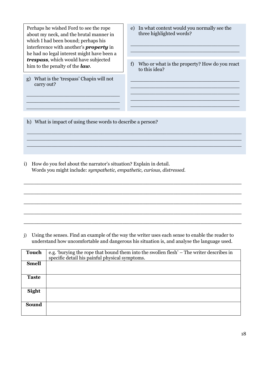Perhaps he wished Ford to see the rope about my neck, and the brutal manner in which I had been bound; perhaps his interference with another's *property* in he had no legal interest might have been a *trespass*, which would have subjected him to the penalty of the *law*.

g) What is the 'trespass' Chapin will not carry out?

 $\overline{\phantom{a}}$  , which is a set of the set of the set of the set of the set of the set of the set of the set of the set of the set of the set of the set of the set of the set of the set of the set of the set of the set of th

\_\_\_\_\_\_\_\_\_\_\_\_\_\_\_\_\_\_\_\_\_\_\_\_\_\_\_\_\_\_ \_\_\_\_\_\_\_\_\_\_\_\_\_\_\_\_\_\_\_\_\_\_\_\_\_\_\_\_\_\_  $\frac{1}{2}$  ,  $\frac{1}{2}$  ,  $\frac{1}{2}$  ,  $\frac{1}{2}$  ,  $\frac{1}{2}$  ,  $\frac{1}{2}$  ,  $\frac{1}{2}$  ,  $\frac{1}{2}$  ,  $\frac{1}{2}$  ,  $\frac{1}{2}$  ,  $\frac{1}{2}$  ,  $\frac{1}{2}$  ,  $\frac{1}{2}$  ,  $\frac{1}{2}$  ,  $\frac{1}{2}$  ,  $\frac{1}{2}$  ,  $\frac{1}{2}$  ,  $\frac{1}{2}$  ,  $\frac{1$ 

- e) In what context would you normally see the three highlighted words?
- f) Who or what is the property? How do you react to this idea?

 $\_$  ,  $\_$  ,  $\_$  ,  $\_$  ,  $\_$  ,  $\_$  ,  $\_$  ,  $\_$  ,  $\_$  ,  $\_$  ,  $\_$  ,  $\_$  ,  $\_$  ,  $\_$  ,  $\_$  ,  $\_$ \_\_\_\_\_\_\_\_\_\_\_\_\_\_\_\_\_\_\_\_\_\_\_\_\_\_\_\_\_\_\_\_\_\_\_ \_\_\_\_\_\_\_\_\_\_\_\_\_\_\_\_\_\_\_\_\_\_\_\_\_\_\_\_\_\_\_\_\_\_\_  $\_$  ,  $\_$  ,  $\_$  ,  $\_$  ,  $\_$  ,  $\_$  ,  $\_$  ,  $\_$  ,  $\_$  ,  $\_$  ,  $\_$  ,  $\_$  ,  $\_$  ,  $\_$  ,  $\_$  ,  $\_$ \_\_\_\_\_\_\_\_\_\_\_\_\_\_\_\_\_\_\_\_\_\_\_\_\_\_\_\_\_\_\_\_\_\_\_

\_\_\_\_\_\_\_\_\_\_\_\_\_\_\_\_\_\_\_\_\_\_\_\_\_\_\_\_\_\_\_\_\_\_\_ \_\_\_\_\_\_\_\_\_\_\_\_\_\_\_\_\_\_\_\_\_\_\_\_\_\_\_\_\_\_\_\_\_\_\_

- b) What is impact of using those words to  $\sim$ h) What is impact of using these words to describe a person?
- i) How do you feel about the narrator's situation? Explain in detail. Words you might include: *sympathetic, empathetic, curious, distressed.*

j) Using the senses. Find an example of the way the writer uses each sense to enable the reader to understand how uncomfortable and dangerous his situation is, and analyse the language used.

**\_\_\_\_\_\_\_\_\_\_\_\_\_\_\_\_\_\_\_\_\_\_\_\_\_\_\_\_\_\_\_\_\_\_\_\_\_\_\_\_\_\_\_\_\_\_\_\_\_\_\_\_\_\_\_\_\_\_\_\_\_\_\_\_**

 $\_$  , and the set of the set of the set of the set of the set of the set of the set of the set of the set of the set of the set of the set of the set of the set of the set of the set of the set of the set of the set of th  $\_$  , and the set of the set of the set of the set of the set of the set of the set of the set of the set of the set of the set of the set of the set of the set of the set of the set of the set of the set of the set of th  $\_$  , and the set of the set of the set of the set of the set of the set of the set of the set of the set of the set of the set of the set of the set of the set of the set of the set of the set of the set of the set of th

**\_\_\_\_\_\_\_\_\_\_\_\_\_\_\_\_\_\_\_\_\_\_\_\_\_\_\_\_\_\_\_\_\_\_\_\_\_\_\_\_\_\_\_\_\_\_\_\_\_\_\_\_\_\_\_\_\_\_\_\_\_\_\_\_**

**\_\_\_\_\_\_\_\_\_\_\_\_\_\_\_\_\_\_\_\_\_\_\_\_\_\_\_\_\_\_\_\_\_\_\_\_\_\_\_\_\_\_\_\_\_\_\_\_\_\_\_\_\_\_\_\_\_\_\_\_\_\_\_\_**

**\_\_\_\_\_\_\_\_\_\_\_\_\_\_\_\_\_\_\_\_\_\_\_\_\_\_\_\_\_\_\_\_\_\_\_\_\_\_\_\_\_\_\_\_\_\_\_\_\_\_\_\_\_\_\_\_\_\_\_\_\_\_\_\_**

**\_\_\_\_\_\_\_\_\_\_\_\_\_\_\_\_\_\_\_\_\_\_\_\_\_\_\_\_\_\_\_\_\_\_\_\_\_\_\_\_\_\_\_\_\_\_\_\_\_\_\_\_\_\_\_\_\_\_\_\_\_\_\_\_**

| Touch        | e.g. 'burying the rope that bound them into the swollen flesh' - The writer describes in<br>specific detail his painful physical symptoms. |
|--------------|--------------------------------------------------------------------------------------------------------------------------------------------|
| <b>Smell</b> |                                                                                                                                            |
| <b>Taste</b> |                                                                                                                                            |
| <b>Sight</b> |                                                                                                                                            |
| Sound        |                                                                                                                                            |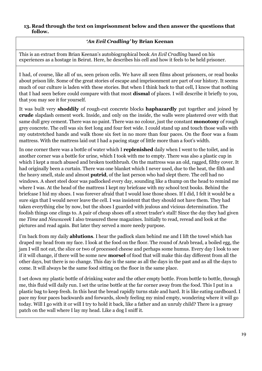#### **13. Read through the text on imprisonment below and then answer the questions that follow.**

### *'An Evil Cradling'* **by Brian Keenan**

This is an extract from Brian Keenan's autobiographical book *An Evil Cradling* based on his experiences as a hostage in Beirut. Here, he describes his cell and how it feels to be held prisoner.

I had, of course, like all of us, seen prison cells. We have all seen films about prisoners, or read books about prison life. Some of the great stories of escape and imprisonment are part of our history. It seems much of our culture is laden with these stories. But when I think back to that cell, I know that nothing that I had seen before could compare with that most **dismal** of places. I will describe it briefly to you, that you may see it for yourself.

It was built very **shoddily** of rough-cut concrete blocks **haphazardly** put together and joined by **crude** slapdash cement work. Inside, and only on the inside, the walls were plastered over with that same dull grey cement. There was no paint. There was no colour, just the constant **monotony** of rough grey concrete. The cell was six feet long and four feet wide. I could stand up and touch those walls with my outstretched hands and walk those six feet in no more than four paces. On the floor was a foam mattress. With the mattress laid out I had a pacing stage of little more than a foot's width.

In one corner there was a bottle of water which I **replenished** daily when I went to the toilet, and in another corner was a bottle for urine, which I took with me to empty. There was also a plastic cup in which I kept a much abused and broken toothbrush. On the mattress was an old, ragged, filthy cover. It had originally been a curtain. There was one blanket which I never used, due to the heat, the filth and the heavy smell, stale and almost **putrid**, of the last person who had slept there. The cell had no windows. A sheet steel door was padlocked every day, sounding like a thump on the head to remind me where I was. At the head of the mattress I kept my briefcase with my school text books. Behind the briefcase I hid my shoes. I was forever afraid that I would lose those shoes. If I did, I felt it would be a sure sign that I would never leave the cell. I was insistent that they should not have them. They had taken everything else by now, but the shoes I guarded with jealous and vicious determination. The foolish things one clings to. A pair of cheap shoes off a street trader's stall! Since the day they had given me *Time* and *Newsweek* I also treasured these magazines. Initially to read, reread and look at the pictures and read again. But later they served a more needy purpose.

I'm back from my daily **ablutions**. I hear the padlock slam behind me and I lift the towel which has draped my head from my face. I look at the food on the floor. The round of Arab bread, a boiled egg, the jam I will not eat, the slice or two of processed cheese and perhaps some humus. Every day I look to see if it will change, if there will be some new **morsel** of food that will make this day different from all the other days, but there is no change. This day is the same as all the days in the past and as all the days to come. It will always be the same food sitting on the floor in the same place.

I set down my plastic bottle of drinking water and the other empty bottle. From bottle to bottle, through me, this fluid will daily run. I set the urine bottle at the far corner away from the food. This I put in a plastic bag to keep fresh. In this heat the bread rapidly turns stale and hard. It is like eating cardboard. I pace my four paces backwards and forwards, slowly feeling my mind empty, wondering where it will go today. Will I go with it or will I try to hold it back, like a father and an unruly child? There is a greasy patch on the wall where I lay my head. Like a dog I sniff it.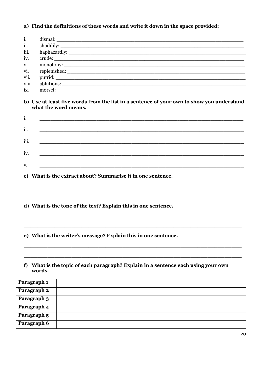# a) Find the definitions of these words and write it down in the space provided:

| i.    |         |
|-------|---------|
| ii.   |         |
| iii.  |         |
| iv.   |         |
| V.    |         |
|       |         |
| vii.  |         |
| viii. |         |
| ix.   | morsel: |

#### b) Use at least five words from the list in a sentence of your own to show you understand what the word means.

| ii.           | <u> 1980 - Johann John Stein, markin fizik eta idazlea (</u> |
|---------------|--------------------------------------------------------------|
| iii.          | <u> 1989 - Andrea Stein, Amerikaansk politiker († 1908)</u>  |
| iv.           | <u> 1980 - Johann John Stein, fransk politik (d. 1980)</u>   |
| $V_{\bullet}$ | <u> 1980 - Jan James James, margolar fizikar (h. 1980).</u>  |
|               | c) What is the extract about? Summarise it in one sentence.  |

d) What is the tone of the text? Explain this in one sentence.

e) What is the writer's message? Explain this in one sentence.

#### f) What is the topic of each paragraph? Explain in a sentence each using your own words.

| Paragraph 1 |  |
|-------------|--|
|             |  |
| Paragraph 2 |  |
|             |  |
| Paragraph 3 |  |
|             |  |
| Paragraph 4 |  |
|             |  |
| Paragraph 5 |  |
|             |  |
| Paragraph 6 |  |
|             |  |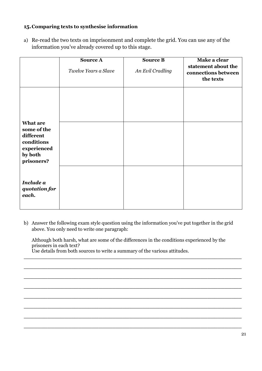# **15.Comparing texts to synthesise information**

a) Re-read the two texts on imprisonment and complete the grid. You can use any of the information you've already covered up to this stage.

|                                                                                            | <b>Source A</b>      | <b>Source B</b>  | Make a clear                                            |
|--------------------------------------------------------------------------------------------|----------------------|------------------|---------------------------------------------------------|
|                                                                                            | Twelve Years a Slave | An Evil Cradling | statement about the<br>connections between<br>the texts |
|                                                                                            |                      |                  |                                                         |
| What are<br>some of the<br>different<br>conditions<br>experienced<br>by both<br>prisoners? |                      |                  |                                                         |
| Include a<br>quotation for<br>each.                                                        |                      |                  |                                                         |

b) Answer the following exam style question using the information you've put together in the grid above. You only need to write one paragraph:

Although both harsh, what are some of the differences in the conditions experienced by the prisoners in each text? Use details from both sources to write a summary of the various attitudes.

**\_\_\_\_\_\_\_\_\_\_\_\_\_\_\_\_\_\_\_\_\_\_\_\_\_\_\_\_\_\_\_\_\_\_\_\_\_\_\_\_\_\_\_\_\_\_\_\_\_\_\_\_\_\_\_\_\_\_\_\_\_\_\_\_**

**\_\_\_\_\_\_\_\_\_\_\_\_\_\_\_\_\_\_\_\_\_\_\_\_\_\_\_\_\_\_\_\_\_\_\_\_\_\_\_\_\_\_\_\_\_\_\_\_\_\_\_\_\_\_\_\_\_\_\_\_\_\_\_\_**

**\_\_\_\_\_\_\_\_\_\_\_\_\_\_\_\_\_\_\_\_\_\_\_\_\_\_\_\_\_\_\_\_\_\_\_\_\_\_\_\_\_\_\_\_\_\_\_\_\_\_\_\_\_\_\_\_\_\_\_\_\_\_\_\_**

**\_\_\_\_\_\_\_\_\_\_\_\_\_\_\_\_\_\_\_\_\_\_\_\_\_\_\_\_\_\_\_\_\_\_\_\_\_\_\_\_\_\_\_\_\_\_\_\_\_\_\_\_\_\_\_\_\_\_\_\_\_\_\_\_**

**\_\_\_\_\_\_\_\_\_\_\_\_\_\_\_\_\_\_\_\_\_\_\_\_\_\_\_\_\_\_\_\_\_\_\_\_\_\_\_\_\_\_\_\_\_\_\_\_\_\_\_\_\_\_\_\_\_\_\_\_\_\_\_\_**

**\_\_\_\_\_\_\_\_\_\_\_\_\_\_\_\_\_\_\_\_\_\_\_\_\_\_\_\_\_\_\_\_\_\_\_\_\_\_\_\_\_\_\_\_\_\_\_\_\_\_\_\_\_\_\_\_\_\_\_\_\_\_\_\_**

**\_\_\_\_\_\_\_\_\_\_\_\_\_\_\_\_\_\_\_\_\_\_\_\_\_\_\_\_\_\_\_\_\_\_\_\_\_\_\_\_\_\_\_\_\_\_\_\_\_\_\_\_\_\_\_\_\_\_\_\_\_\_\_\_**

**\_\_\_\_\_\_\_\_\_\_\_\_\_\_\_\_\_\_\_\_\_\_\_\_\_\_\_\_\_\_\_\_\_\_\_\_\_\_\_\_\_\_\_\_\_\_\_\_\_\_\_\_\_\_\_\_\_\_\_\_\_\_\_\_**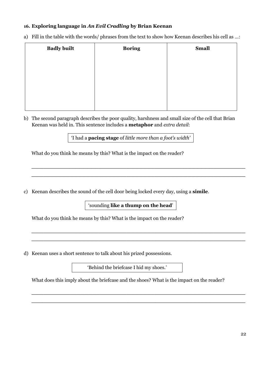# **16. Exploring language in** *An Evil Cradling* **by Brian Keenan**

a) Fill in the table with the words/ phrases from the text to show how Keenan describes his cell as …:

| <b>Badly built</b> | <b>Boring</b> | <b>Small</b> |
|--------------------|---------------|--------------|
|                    |               |              |
|                    |               |              |
|                    |               |              |
|                    |               |              |
|                    |               |              |

b) The second paragraph describes the poor quality, harshness and small size of the cell that Brian Keenan was held in. This sentence includes a **metaphor** and *extra detail*:

'I had a **pacing stage** of *little more than a foot's width'*

\_\_\_\_\_\_\_\_\_\_\_\_\_\_\_\_\_\_\_\_\_\_\_\_\_\_\_\_\_\_\_\_\_\_\_\_\_\_\_\_\_\_\_\_\_\_\_\_\_\_\_\_\_\_  $\_$  . The contract of the contract of the contract of the contract of the contract of the contract of the contract of the contract of the contract of the contract of the contract of the contract of the contract of the con

What do you think he means by this? What is the impact on the reader?

c) Keenan describes the sound of the cell door being locked every day, using a **simile**.

'sounding **like a thump on the head**'

 $\_$  . The contract of the contract of the contract of the contract of the contract of the contract of the contract of the contract of the contract of the contract of the contract of the contract of the contract of the con  $\_$  . The contract of the contract of the contract of the contract of the contract of the contract of the contract of the contract of the contract of the contract of the contract of the contract of the contract of the con

 $\_$  . The contract of the contract of the contract of the contract of the contract of the contract of the contract of the contract of the contract of the contract of the contract of the contract of the contract of the con \_\_\_\_\_\_\_\_\_\_\_\_\_\_\_\_\_\_\_\_\_\_\_\_\_\_\_\_\_\_\_\_\_\_\_\_\_\_\_\_\_\_\_\_\_\_\_\_\_\_\_\_\_\_

What do you think he means by this? What is the impact on the reader?

d) Keenan uses a short sentence to talk about his prized possessions.

'Behind the briefcase I hid my shoes.'

What does this imply about the briefcase and the shoes? What is the impact on the reader?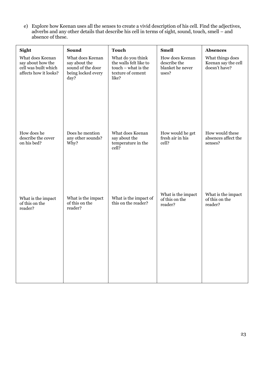e) Explore how Keenan uses all the senses to create a vivid description of his cell. Find the adjectives, adverbs and any other details that describe his cell in terms of sight, sound, touch, smell – and absence of these.

| <b>Sight</b>                                                                           | Sound                                                                                | <b>Touch</b>                                                                                       | <b>Smell</b>                                                 | <b>Absences</b>                                          |
|----------------------------------------------------------------------------------------|--------------------------------------------------------------------------------------|----------------------------------------------------------------------------------------------------|--------------------------------------------------------------|----------------------------------------------------------|
| What does Keenan<br>say about how the<br>cell was built which<br>affects how it looks? | What does Keenan<br>say about the<br>sound of the door<br>being locked every<br>day? | What do you think<br>the walls felt like to<br>$touch - what is the$<br>texture of cement<br>like? | How does Keenan<br>describe the<br>blanket he never<br>uses? | What things does<br>Keenan say the cell<br>doesn't have? |
| How does he<br>describe the cover<br>on his bed?                                       | Does he mention<br>any other sounds?<br>Why?                                         | What does Keenan<br>say about the<br>temperature in the<br>cell?                                   | How would he get<br>fresh air in his<br>cell?                | How would these<br>absences affect the<br>senses?        |
| What is the impact<br>of this on the<br>reader?                                        | What is the impact<br>of this on the<br>reader?                                      | What is the impact of<br>this on the reader?                                                       | What is the impact<br>of this on the<br>reader?              | What is the impact<br>of this on the<br>reader?          |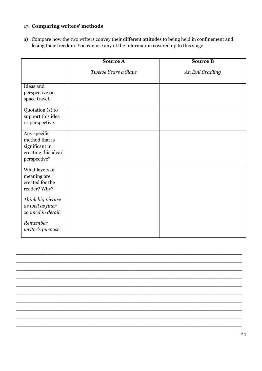# **17. Comparing writers' methods**

a) Compare how the two writers convey their different attitudes to being held in confinement and losing their freedom. You can use any of the information covered up to this stage.

|                                                                                         | <b>Source A</b>      | Source B         |
|-----------------------------------------------------------------------------------------|----------------------|------------------|
|                                                                                         | Twelve Years a Slave | An Evil Cradling |
| Ideas and<br>perspective on<br>space travel.                                            |                      |                  |
| Quotation (s) to<br>support this idea<br>or perspective.                                |                      |                  |
| Any specific<br>method that is<br>significant in<br>creating this idea/<br>perspective? |                      |                  |
| What layers of<br>meaning are<br>created for the<br>reader? Why?                        |                      |                  |
| Think big picture<br>as well as finer<br>zoomed in detail.                              |                      |                  |
| Remember<br>writer's purpose.                                                           |                      |                  |

\_\_\_\_\_\_\_\_\_\_\_\_\_\_\_\_\_\_\_\_\_\_\_\_\_\_\_\_\_\_\_\_\_\_\_\_\_\_\_\_\_\_\_\_\_\_\_\_\_\_ \_\_\_\_\_\_\_\_\_\_\_\_\_\_\_\_\_\_\_\_\_\_\_\_\_\_\_\_\_\_\_\_\_\_\_\_\_\_\_\_\_\_\_\_\_\_\_\_\_\_ \_\_\_\_\_\_\_\_\_\_\_\_\_\_\_\_\_\_\_\_\_\_\_\_\_\_\_\_\_\_\_\_\_\_\_\_\_\_\_\_\_\_\_\_\_\_\_\_\_\_ \_\_\_\_\_\_\_\_\_\_\_\_\_\_\_\_\_\_\_\_\_\_\_\_\_\_\_\_\_\_\_\_\_\_\_\_\_\_\_\_\_\_\_\_\_\_\_\_\_\_ \_\_\_\_\_\_\_\_\_\_\_\_\_\_\_\_\_\_\_\_\_\_\_\_\_\_\_\_\_\_\_\_\_\_\_\_\_\_\_\_\_\_\_\_\_\_\_\_\_\_ \_\_\_\_\_\_\_\_\_\_\_\_\_\_\_\_\_\_\_\_\_\_\_\_\_\_\_\_\_\_\_\_\_\_\_\_\_\_\_\_\_\_\_\_\_\_\_\_\_\_ \_\_\_\_\_\_\_\_\_\_\_\_\_\_\_\_\_\_\_\_\_\_\_\_\_\_\_\_\_\_\_\_\_\_\_\_\_\_\_\_\_\_\_\_\_\_\_\_\_\_ \_\_\_\_\_\_\_\_\_\_\_\_\_\_\_\_\_\_\_\_\_\_\_\_\_\_\_\_\_\_\_\_\_\_\_\_\_\_\_\_\_\_\_\_\_\_\_\_\_\_ \_\_\_\_\_\_\_\_\_\_\_\_\_\_\_\_\_\_\_\_\_\_\_\_\_\_\_\_\_\_\_\_\_\_\_\_\_\_\_\_\_\_\_\_\_\_\_\_\_\_ \_\_\_\_\_\_\_\_\_\_\_\_\_\_\_\_\_\_\_\_\_\_\_\_\_\_\_\_\_\_\_\_\_\_\_\_\_\_\_\_\_\_\_\_\_\_\_\_\_\_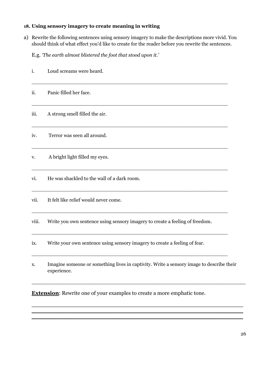#### **18. Using sensory imagery to create meaning in writing**

a) Rewrite the following sentences using sensory imagery to make the descriptions more vivid. You should think of what effect you'd like to create for the reader before you rewrite the sentences.

E.g. *'The earth almost blistered the foot that stood upon it.'*

| i.    | Loud screams were heard.                                                                                |
|-------|---------------------------------------------------------------------------------------------------------|
| ii.   | Panic filled her face.                                                                                  |
| iii.  | A strong smell filled the air.                                                                          |
| iv.   | Terror was seen all around.                                                                             |
| v.    | A bright light filled my eyes.                                                                          |
| vi.   | He was shackled to the wall of a dark room.                                                             |
| vii.  | It felt like relief would never come.                                                                   |
| viii. | Write you own sentence using sensory imagery to create a feeling of freedom.                            |
| ix.   | Write your own sentence using sensory imagery to create a feeling of fear.                              |
| X.    | Imagine someone or something lives in captivity. Write a sensory image to describe their<br>experience. |
|       | <b>Extension:</b> Rewrite one of your examples to create a more emphatic tone.                          |

**\_\_\_\_\_\_\_\_\_\_\_\_\_\_\_\_\_\_\_\_\_\_\_\_\_\_\_\_\_\_\_\_\_\_\_\_\_\_\_\_\_\_\_\_\_\_\_\_\_\_\_\_\_\_\_\_\_ \_\_\_\_\_\_\_\_\_\_\_\_\_\_\_\_\_\_\_\_\_\_\_\_\_\_\_\_\_\_\_\_\_\_\_\_\_\_\_\_\_\_\_\_\_\_\_\_\_\_\_\_\_\_\_\_\_**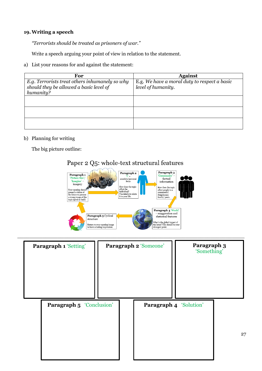### **19.Writing a speech**

*"Terrorists should be treated as prisoners of war."*

Write a speech arguing your point of view in relation to the statement.

a) List your reasons for and against the statement:

| For                                                                                                    | <b>Against</b>                                                     |
|--------------------------------------------------------------------------------------------------------|--------------------------------------------------------------------|
| E.g. Terrorists treat others inhumanely so why<br>should they be allowed a basic level of<br>humanity? | E.g. We have a moral duty to respect a basic<br>level of humanity. |
|                                                                                                        |                                                                    |
|                                                                                                        |                                                                    |
|                                                                                                        |                                                                    |

#### b) Planning for writing

The big picture outline:



Paper 2 Q5: whole-text structural features

# 27  $\_$  , and the set of the set of the set of the set of the set of the set of the set of the set of the set of the set of the set of the set of the set of the set of the set of the set of the set of the set of the set of th **Paragraph 1** 'Setting' **Paragraph 2** 'Someone' **Paragraph 3** 'Something' **Paragraph 5** 'Conclusion' **Paragraph 4** 'Solution'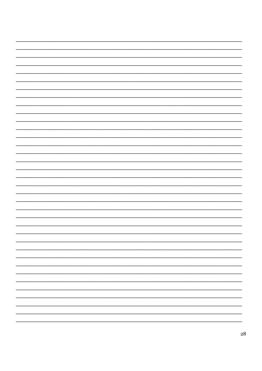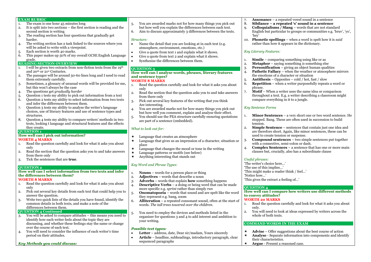| second section is writing<br>The reading section has four questions that gradually get<br>3.<br>harder.<br>The writing section has a task linked to the sources where you<br>4.<br>will be asked to write with a viewpoint.<br>Each section is worth 40 marks.<br>5.<br>This paper makes up 50% of my overall GCSE English Language<br>6.<br>grade.<br><b>READING SECTION OVERVIEW</b><br>I will be given two extracts from non-fiction texts from the 19 <sup>th</sup><br>1.<br>and 20 <sup>th</sup> or 21 <sup>st</sup> Centuries.<br>The passages will be around 50-60 lines long and I need to read<br>2.<br>them extremely carefully.<br>Sometimes, a glossary of unusual words will be provided for me,<br>3.<br>but this won't always be the case<br>The questions get <i>gradually harder</i><br>4.<br>Question 1 tests my ability to pick out information from a text<br>5.<br>Question 2 tests my ability to select information from two texts<br>6.<br>and infer the differences between them.<br>Question 3 tests my ability to analyse the writer's language<br>7.<br>choices, use of literary features and use of sentence types and<br>structures.<br>8.<br>Question 4 tests my ability to compare writers' methods in two<br>texts, looking t language and structural features and the effects<br>they create.<br><b>OUESTION 1</b><br>How well can I pick out information?<br><b>WORTH 4 MARKS</b><br>Read the question carefully and look for what it asks you about<br>1.<br>only<br>Read the section that the question asks you to and take answers<br>2.<br>from there only<br>Tick the sentences that are <b>true</b> .<br>3.<br><b>QUESTION 2</b><br>How well can I select information from two texts and infer<br>the differences between them?<br><b>WORTH 8 MARKS</b><br>Read the question carefully and look for what it asks you about<br>1.<br>only<br>Pick out several key details from each text that could help you to<br>2.<br>answer the question.<br>Write two quick lists of the details you have found, identify the<br>3. |  |
|-----------------------------------------------------------------------------------------------------------------------------------------------------------------------------------------------------------------------------------------------------------------------------------------------------------------------------------------------------------------------------------------------------------------------------------------------------------------------------------------------------------------------------------------------------------------------------------------------------------------------------------------------------------------------------------------------------------------------------------------------------------------------------------------------------------------------------------------------------------------------------------------------------------------------------------------------------------------------------------------------------------------------------------------------------------------------------------------------------------------------------------------------------------------------------------------------------------------------------------------------------------------------------------------------------------------------------------------------------------------------------------------------------------------------------------------------------------------------------------------------------------------------------------------------------------------------------------------------------------------------------------------------------------------------------------------------------------------------------------------------------------------------------------------------------------------------------------------------------------------------------------------------------------------------------------------------------------------------------------------------------------------------------------------------------------------|--|
|                                                                                                                                                                                                                                                                                                                                                                                                                                                                                                                                                                                                                                                                                                                                                                                                                                                                                                                                                                                                                                                                                                                                                                                                                                                                                                                                                                                                                                                                                                                                                                                                                                                                                                                                                                                                                                                                                                                                                                                                                                                                 |  |
|                                                                                                                                                                                                                                                                                                                                                                                                                                                                                                                                                                                                                                                                                                                                                                                                                                                                                                                                                                                                                                                                                                                                                                                                                                                                                                                                                                                                                                                                                                                                                                                                                                                                                                                                                                                                                                                                                                                                                                                                                                                                 |  |
|                                                                                                                                                                                                                                                                                                                                                                                                                                                                                                                                                                                                                                                                                                                                                                                                                                                                                                                                                                                                                                                                                                                                                                                                                                                                                                                                                                                                                                                                                                                                                                                                                                                                                                                                                                                                                                                                                                                                                                                                                                                                 |  |
|                                                                                                                                                                                                                                                                                                                                                                                                                                                                                                                                                                                                                                                                                                                                                                                                                                                                                                                                                                                                                                                                                                                                                                                                                                                                                                                                                                                                                                                                                                                                                                                                                                                                                                                                                                                                                                                                                                                                                                                                                                                                 |  |
|                                                                                                                                                                                                                                                                                                                                                                                                                                                                                                                                                                                                                                                                                                                                                                                                                                                                                                                                                                                                                                                                                                                                                                                                                                                                                                                                                                                                                                                                                                                                                                                                                                                                                                                                                                                                                                                                                                                                                                                                                                                                 |  |
|                                                                                                                                                                                                                                                                                                                                                                                                                                                                                                                                                                                                                                                                                                                                                                                                                                                                                                                                                                                                                                                                                                                                                                                                                                                                                                                                                                                                                                                                                                                                                                                                                                                                                                                                                                                                                                                                                                                                                                                                                                                                 |  |
|                                                                                                                                                                                                                                                                                                                                                                                                                                                                                                                                                                                                                                                                                                                                                                                                                                                                                                                                                                                                                                                                                                                                                                                                                                                                                                                                                                                                                                                                                                                                                                                                                                                                                                                                                                                                                                                                                                                                                                                                                                                                 |  |
|                                                                                                                                                                                                                                                                                                                                                                                                                                                                                                                                                                                                                                                                                                                                                                                                                                                                                                                                                                                                                                                                                                                                                                                                                                                                                                                                                                                                                                                                                                                                                                                                                                                                                                                                                                                                                                                                                                                                                                                                                                                                 |  |
|                                                                                                                                                                                                                                                                                                                                                                                                                                                                                                                                                                                                                                                                                                                                                                                                                                                                                                                                                                                                                                                                                                                                                                                                                                                                                                                                                                                                                                                                                                                                                                                                                                                                                                                                                                                                                                                                                                                                                                                                                                                                 |  |
|                                                                                                                                                                                                                                                                                                                                                                                                                                                                                                                                                                                                                                                                                                                                                                                                                                                                                                                                                                                                                                                                                                                                                                                                                                                                                                                                                                                                                                                                                                                                                                                                                                                                                                                                                                                                                                                                                                                                                                                                                                                                 |  |
|                                                                                                                                                                                                                                                                                                                                                                                                                                                                                                                                                                                                                                                                                                                                                                                                                                                                                                                                                                                                                                                                                                                                                                                                                                                                                                                                                                                                                                                                                                                                                                                                                                                                                                                                                                                                                                                                                                                                                                                                                                                                 |  |
|                                                                                                                                                                                                                                                                                                                                                                                                                                                                                                                                                                                                                                                                                                                                                                                                                                                                                                                                                                                                                                                                                                                                                                                                                                                                                                                                                                                                                                                                                                                                                                                                                                                                                                                                                                                                                                                                                                                                                                                                                                                                 |  |
|                                                                                                                                                                                                                                                                                                                                                                                                                                                                                                                                                                                                                                                                                                                                                                                                                                                                                                                                                                                                                                                                                                                                                                                                                                                                                                                                                                                                                                                                                                                                                                                                                                                                                                                                                                                                                                                                                                                                                                                                                                                                 |  |
|                                                                                                                                                                                                                                                                                                                                                                                                                                                                                                                                                                                                                                                                                                                                                                                                                                                                                                                                                                                                                                                                                                                                                                                                                                                                                                                                                                                                                                                                                                                                                                                                                                                                                                                                                                                                                                                                                                                                                                                                                                                                 |  |
|                                                                                                                                                                                                                                                                                                                                                                                                                                                                                                                                                                                                                                                                                                                                                                                                                                                                                                                                                                                                                                                                                                                                                                                                                                                                                                                                                                                                                                                                                                                                                                                                                                                                                                                                                                                                                                                                                                                                                                                                                                                                 |  |
|                                                                                                                                                                                                                                                                                                                                                                                                                                                                                                                                                                                                                                                                                                                                                                                                                                                                                                                                                                                                                                                                                                                                                                                                                                                                                                                                                                                                                                                                                                                                                                                                                                                                                                                                                                                                                                                                                                                                                                                                                                                                 |  |
|                                                                                                                                                                                                                                                                                                                                                                                                                                                                                                                                                                                                                                                                                                                                                                                                                                                                                                                                                                                                                                                                                                                                                                                                                                                                                                                                                                                                                                                                                                                                                                                                                                                                                                                                                                                                                                                                                                                                                                                                                                                                 |  |
|                                                                                                                                                                                                                                                                                                                                                                                                                                                                                                                                                                                                                                                                                                                                                                                                                                                                                                                                                                                                                                                                                                                                                                                                                                                                                                                                                                                                                                                                                                                                                                                                                                                                                                                                                                                                                                                                                                                                                                                                                                                                 |  |
|                                                                                                                                                                                                                                                                                                                                                                                                                                                                                                                                                                                                                                                                                                                                                                                                                                                                                                                                                                                                                                                                                                                                                                                                                                                                                                                                                                                                                                                                                                                                                                                                                                                                                                                                                                                                                                                                                                                                                                                                                                                                 |  |
|                                                                                                                                                                                                                                                                                                                                                                                                                                                                                                                                                                                                                                                                                                                                                                                                                                                                                                                                                                                                                                                                                                                                                                                                                                                                                                                                                                                                                                                                                                                                                                                                                                                                                                                                                                                                                                                                                                                                                                                                                                                                 |  |
|                                                                                                                                                                                                                                                                                                                                                                                                                                                                                                                                                                                                                                                                                                                                                                                                                                                                                                                                                                                                                                                                                                                                                                                                                                                                                                                                                                                                                                                                                                                                                                                                                                                                                                                                                                                                                                                                                                                                                                                                                                                                 |  |
|                                                                                                                                                                                                                                                                                                                                                                                                                                                                                                                                                                                                                                                                                                                                                                                                                                                                                                                                                                                                                                                                                                                                                                                                                                                                                                                                                                                                                                                                                                                                                                                                                                                                                                                                                                                                                                                                                                                                                                                                                                                                 |  |
|                                                                                                                                                                                                                                                                                                                                                                                                                                                                                                                                                                                                                                                                                                                                                                                                                                                                                                                                                                                                                                                                                                                                                                                                                                                                                                                                                                                                                                                                                                                                                                                                                                                                                                                                                                                                                                                                                                                                                                                                                                                                 |  |
|                                                                                                                                                                                                                                                                                                                                                                                                                                                                                                                                                                                                                                                                                                                                                                                                                                                                                                                                                                                                                                                                                                                                                                                                                                                                                                                                                                                                                                                                                                                                                                                                                                                                                                                                                                                                                                                                                                                                                                                                                                                                 |  |
|                                                                                                                                                                                                                                                                                                                                                                                                                                                                                                                                                                                                                                                                                                                                                                                                                                                                                                                                                                                                                                                                                                                                                                                                                                                                                                                                                                                                                                                                                                                                                                                                                                                                                                                                                                                                                                                                                                                                                                                                                                                                 |  |
|                                                                                                                                                                                                                                                                                                                                                                                                                                                                                                                                                                                                                                                                                                                                                                                                                                                                                                                                                                                                                                                                                                                                                                                                                                                                                                                                                                                                                                                                                                                                                                                                                                                                                                                                                                                                                                                                                                                                                                                                                                                                 |  |
|                                                                                                                                                                                                                                                                                                                                                                                                                                                                                                                                                                                                                                                                                                                                                                                                                                                                                                                                                                                                                                                                                                                                                                                                                                                                                                                                                                                                                                                                                                                                                                                                                                                                                                                                                                                                                                                                                                                                                                                                                                                                 |  |
|                                                                                                                                                                                                                                                                                                                                                                                                                                                                                                                                                                                                                                                                                                                                                                                                                                                                                                                                                                                                                                                                                                                                                                                                                                                                                                                                                                                                                                                                                                                                                                                                                                                                                                                                                                                                                                                                                                                                                                                                                                                                 |  |
|                                                                                                                                                                                                                                                                                                                                                                                                                                                                                                                                                                                                                                                                                                                                                                                                                                                                                                                                                                                                                                                                                                                                                                                                                                                                                                                                                                                                                                                                                                                                                                                                                                                                                                                                                                                                                                                                                                                                                                                                                                                                 |  |
|                                                                                                                                                                                                                                                                                                                                                                                                                                                                                                                                                                                                                                                                                                                                                                                                                                                                                                                                                                                                                                                                                                                                                                                                                                                                                                                                                                                                                                                                                                                                                                                                                                                                                                                                                                                                                                                                                                                                                                                                                                                                 |  |
|                                                                                                                                                                                                                                                                                                                                                                                                                                                                                                                                                                                                                                                                                                                                                                                                                                                                                                                                                                                                                                                                                                                                                                                                                                                                                                                                                                                                                                                                                                                                                                                                                                                                                                                                                                                                                                                                                                                                                                                                                                                                 |  |
|                                                                                                                                                                                                                                                                                                                                                                                                                                                                                                                                                                                                                                                                                                                                                                                                                                                                                                                                                                                                                                                                                                                                                                                                                                                                                                                                                                                                                                                                                                                                                                                                                                                                                                                                                                                                                                                                                                                                                                                                                                                                 |  |
|                                                                                                                                                                                                                                                                                                                                                                                                                                                                                                                                                                                                                                                                                                                                                                                                                                                                                                                                                                                                                                                                                                                                                                                                                                                                                                                                                                                                                                                                                                                                                                                                                                                                                                                                                                                                                                                                                                                                                                                                                                                                 |  |
|                                                                                                                                                                                                                                                                                                                                                                                                                                                                                                                                                                                                                                                                                                                                                                                                                                                                                                                                                                                                                                                                                                                                                                                                                                                                                                                                                                                                                                                                                                                                                                                                                                                                                                                                                                                                                                                                                                                                                                                                                                                                 |  |
|                                                                                                                                                                                                                                                                                                                                                                                                                                                                                                                                                                                                                                                                                                                                                                                                                                                                                                                                                                                                                                                                                                                                                                                                                                                                                                                                                                                                                                                                                                                                                                                                                                                                                                                                                                                                                                                                                                                                                                                                                                                                 |  |
|                                                                                                                                                                                                                                                                                                                                                                                                                                                                                                                                                                                                                                                                                                                                                                                                                                                                                                                                                                                                                                                                                                                                                                                                                                                                                                                                                                                                                                                                                                                                                                                                                                                                                                                                                                                                                                                                                                                                                                                                                                                                 |  |
|                                                                                                                                                                                                                                                                                                                                                                                                                                                                                                                                                                                                                                                                                                                                                                                                                                                                                                                                                                                                                                                                                                                                                                                                                                                                                                                                                                                                                                                                                                                                                                                                                                                                                                                                                                                                                                                                                                                                                                                                                                                                 |  |
|                                                                                                                                                                                                                                                                                                                                                                                                                                                                                                                                                                                                                                                                                                                                                                                                                                                                                                                                                                                                                                                                                                                                                                                                                                                                                                                                                                                                                                                                                                                                                                                                                                                                                                                                                                                                                                                                                                                                                                                                                                                                 |  |
|                                                                                                                                                                                                                                                                                                                                                                                                                                                                                                                                                                                                                                                                                                                                                                                                                                                                                                                                                                                                                                                                                                                                                                                                                                                                                                                                                                                                                                                                                                                                                                                                                                                                                                                                                                                                                                                                                                                                                                                                                                                                 |  |
|                                                                                                                                                                                                                                                                                                                                                                                                                                                                                                                                                                                                                                                                                                                                                                                                                                                                                                                                                                                                                                                                                                                                                                                                                                                                                                                                                                                                                                                                                                                                                                                                                                                                                                                                                                                                                                                                                                                                                                                                                                                                 |  |
|                                                                                                                                                                                                                                                                                                                                                                                                                                                                                                                                                                                                                                                                                                                                                                                                                                                                                                                                                                                                                                                                                                                                                                                                                                                                                                                                                                                                                                                                                                                                                                                                                                                                                                                                                                                                                                                                                                                                                                                                                                                                 |  |
|                                                                                                                                                                                                                                                                                                                                                                                                                                                                                                                                                                                                                                                                                                                                                                                                                                                                                                                                                                                                                                                                                                                                                                                                                                                                                                                                                                                                                                                                                                                                                                                                                                                                                                                                                                                                                                                                                                                                                                                                                                                                 |  |
|                                                                                                                                                                                                                                                                                                                                                                                                                                                                                                                                                                                                                                                                                                                                                                                                                                                                                                                                                                                                                                                                                                                                                                                                                                                                                                                                                                                                                                                                                                                                                                                                                                                                                                                                                                                                                                                                                                                                                                                                                                                                 |  |
|                                                                                                                                                                                                                                                                                                                                                                                                                                                                                                                                                                                                                                                                                                                                                                                                                                                                                                                                                                                                                                                                                                                                                                                                                                                                                                                                                                                                                                                                                                                                                                                                                                                                                                                                                                                                                                                                                                                                                                                                                                                                 |  |
| common details in both texts, and make a note of the                                                                                                                                                                                                                                                                                                                                                                                                                                                                                                                                                                                                                                                                                                                                                                                                                                                                                                                                                                                                                                                                                                                                                                                                                                                                                                                                                                                                                                                                                                                                                                                                                                                                                                                                                                                                                                                                                                                                                                                                            |  |
| differences between them.                                                                                                                                                                                                                                                                                                                                                                                                                                                                                                                                                                                                                                                                                                                                                                                                                                                                                                                                                                                                                                                                                                                                                                                                                                                                                                                                                                                                                                                                                                                                                                                                                                                                                                                                                                                                                                                                                                                                                                                                                                       |  |
| <b>QUESTION 4 Continued</b>                                                                                                                                                                                                                                                                                                                                                                                                                                                                                                                                                                                                                                                                                                                                                                                                                                                                                                                                                                                                                                                                                                                                                                                                                                                                                                                                                                                                                                                                                                                                                                                                                                                                                                                                                                                                                                                                                                                                                                                                                                     |  |
| You will be asked to compare attitudes - this means you need to<br>3.                                                                                                                                                                                                                                                                                                                                                                                                                                                                                                                                                                                                                                                                                                                                                                                                                                                                                                                                                                                                                                                                                                                                                                                                                                                                                                                                                                                                                                                                                                                                                                                                                                                                                                                                                                                                                                                                                                                                                                                           |  |
| identify how each writer feels about the topic they are                                                                                                                                                                                                                                                                                                                                                                                                                                                                                                                                                                                                                                                                                                                                                                                                                                                                                                                                                                                                                                                                                                                                                                                                                                                                                                                                                                                                                                                                                                                                                                                                                                                                                                                                                                                                                                                                                                                                                                                                         |  |
| discussing, and whether these feelings stay the same or change                                                                                                                                                                                                                                                                                                                                                                                                                                                                                                                                                                                                                                                                                                                                                                                                                                                                                                                                                                                                                                                                                                                                                                                                                                                                                                                                                                                                                                                                                                                                                                                                                                                                                                                                                                                                                                                                                                                                                                                                  |  |
| over the course of each text.                                                                                                                                                                                                                                                                                                                                                                                                                                                                                                                                                                                                                                                                                                                                                                                                                                                                                                                                                                                                                                                                                                                                                                                                                                                                                                                                                                                                                                                                                                                                                                                                                                                                                                                                                                                                                                                                                                                                                                                                                                   |  |
| You will need to consider the influence of each writer's time                                                                                                                                                                                                                                                                                                                                                                                                                                                                                                                                                                                                                                                                                                                                                                                                                                                                                                                                                                                                                                                                                                                                                                                                                                                                                                                                                                                                                                                                                                                                                                                                                                                                                                                                                                                                                                                                                                                                                                                                   |  |
| 4.<br>period on their attitudes.                                                                                                                                                                                                                                                                                                                                                                                                                                                                                                                                                                                                                                                                                                                                                                                                                                                                                                                                                                                                                                                                                                                                                                                                                                                                                                                                                                                                                                                                                                                                                                                                                                                                                                                                                                                                                                                                                                                                                                                                                                |  |
|                                                                                                                                                                                                                                                                                                                                                                                                                                                                                                                                                                                                                                                                                                                                                                                                                                                                                                                                                                                                                                                                                                                                                                                                                                                                                                                                                                                                                                                                                                                                                                                                                                                                                                                                                                                                                                                                                                                                                                                                                                                                 |  |
| Key Methods you could discuss:                                                                                                                                                                                                                                                                                                                                                                                                                                                                                                                                                                                                                                                                                                                                                                                                                                                                                                                                                                                                                                                                                                                                                                                                                                                                                                                                                                                                                                                                                                                                                                                                                                                                                                                                                                                                                                                                                                                                                                                                                                  |  |

**EXAM RUBRIC**

The exam is one hour 45 minutes long

#### 5. You are awarded marks not for how many things you pick out but how well you explain the differences between each text.

Aim to discuss approximately 3 differences between the texts.

#### *Structure:*

- Name the detail that you are looking at in each text (e.g. atmosphere, environment, emotions, etc.)
- Give a quote from text 1 and explain what it shows.
- Give a quote from text 2 and explain what it shows.
- Synthesise the differences between them.

#### **STION 3**

#### **<u>Well can I analyse words, phrases, literary features</u> and sentence types?**

- **RTH 8 MARKS** Read the question carefully and look for what it asks you about
- only
- 2. Read the section that the question asks you to and take answers from there only
- 3. Pick out several key features of the writing that you think Are interesting.
- 4. You are awarded marks not for how many things you pick out but how well you comment, explain and analyse their effect.
- 5. You should use the PEA structure carefully ensuring quotations are part of a sentence (embedded).

#### $t$  to look out for:

- Language that creates an atmosphere
- Language that gives us an impression of a character, situation or place
- Language that changes the mood or tone in the writing
- Language patterns or motifs (see below)
- Anything interesting that stands out

#### *Key Word and Phrase Types:*

- 1. **Nouns** words for a person place or thing
- 2. **Adjectives** words that describe a noun
- *3.* **Adverbs** words that explain **how** something happens
- **Descriptive Verbs** a doing or being word that can be made more specific e.g. *sprint* rather than simply *run*
- **Onomatopoeia** words that sound and are spelt like the word they represent e.g. bang, zoom
- 6. **Alliteration** a repeated consonant sound, often at the start of words. *The tall trees towered over the children.*
- 5. You need to employ the devices and methods listed in the organiser for questions 3 and 4 to add interest and ambition to your writing.

#### *Possible text types:*

- **Letter** address, date, Dear sir/madam, Yours sincerely
- **Article** headline, subheadings, introductory paragraph, clear sequenced paragraphs

# 7. **Assonance** – a repeated vowel sound in a sentence

- 8. **Sibilance – a repeated 's' sound in a sentence**
- 9. **Colloquialisms / Slang** words that are not standard English but particular to groups or communities e.g. 'bruv', 'yo', 'hey'
- 10. **Phonetic spellings**  when a word is spelt how it is *said* rather than how it appears in the dictionary.

#### *Key Literary Features:*

- 1. **Simile** comparing something using like or as
- 2. **Metaphor** saying something *is* something else
- 3. **Personification** giving an object human qualities
- 4. **Pathetic Fallacy** when the weather or atmosphere mirrors the emotions of a character or situation
- 5. **Antithesis**  Opposites cold / hot, fast / slow
- 6. **Repetition** when a writer purposefully repeats a word or phrase.
- 7. **Motif**  When a writer uses the same idea or comparison throughout a text. E.g. a writer describing a classroom might compare everything in it to a jungle.

#### *Key Sentence Forms*

- 1. **Minor Sentences** a very short one or two word sentence. He stopped. Bang. These are often used in succession to build tension.
- 2. **Simple Sentence** sentences that contain just one idea and are therefore short. Again, like minor sentences, these can be used to create tension or suspense.
- 3. **Compound sentences** two simple sentences put together with a connective, semi-colon or dash.
- 4. **Complex Sentences** a sentence that has one or more main clauses but, crucially, also has a subordinate clause

#### *Useful phrases:*

'The writer's choice here…' 'The use of this implies…' 'This might make a reader think / feel…' 'Notice how…' 'This gives the extract a feeling of…'

#### **QUESTION 4**

#### **How well can I compare how writers use different methods to convey attitudes?**

#### **WORTH 20 MARKS**

- 1. Read the question carefully and look for what it asks you about only.
- 2. You will need to look at ideas expressed by writers across the whole of both texts.

#### **COMMAND WORDS IN THE EXAM**

- **Advise** Offer suggestions about the best course of action
- **Analyse** Separate information into components and identify their characteristics.
- **Argue**  Present a reasoned case.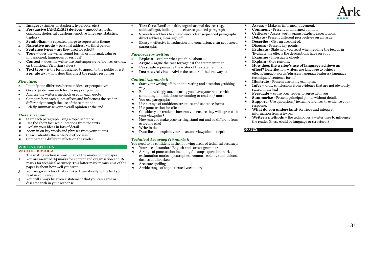

|                  | <b>Imagery</b> (similes, metaphors, hyperbole, etc.)                       | Text for a Leaflet - title, organisational devices (e.g.                         | $\star$ | <b>Assess</b> – Make an informed judgement.                                                                        |
|------------------|----------------------------------------------------------------------------|----------------------------------------------------------------------------------|---------|--------------------------------------------------------------------------------------------------------------------|
| $\overline{2}$   | Persuasive (AFOREST) devices - anecdotes, facts,                           | subheadings), bullet points, clear sequenced paragraphs                          | $\star$ | <b>Comment</b> - Present an informed opinion.                                                                      |
|                  | opinions, rhetorical questions, emotive language, statistics,              | <b>Speech</b> – address to an audience, clear sequenced paragraphs,<br>$\bullet$ | $\star$ | Criticise - Assess worth against explicit expectations.                                                            |
|                  | triplets)                                                                  | direct address, clear sign off                                                   | $\star$ | Debate - Present different perspectives on an issue.                                                               |
| 3.               | <b>Symbolism</b> – a repeated image to represent a theme                   | <b>Essay</b> – effective introduction and conclusion, clear sequenced            | $\star$ | <b>Describe</b> - Give an account of.                                                                              |
|                  | <b>Narrative mode – personal address vs. third person</b>                  | paragraphs                                                                       | $\star$ | Discuss - Present key points.                                                                                      |
|                  | <b>Sentence types - are they used for effect?</b>                          |                                                                                  | $\star$ | Evaluate - State how you react when reading the text as in                                                         |
| 6.               | <b>Tone</b> – does the writer sound formal or informal, calm or            | <b>Purposes for writing:</b>                                                     |         | 'Evaluate the effects the descriptions have on you'.                                                               |
|                  | impassioned, humorous or serious?                                          | <b>Explain</b> – explain what you think about<br>$\bullet$                       | $\star$ | <b>Examine</b> - Investigate closely.                                                                              |
| 7.               | <b>Context</b> – does the writer use contemporary references or draw       | <b>Argue</b> – argue the case for/against the statement that                     | $\star$ | <b>Explain - Give reasons.</b>                                                                                     |
|                  | on traditional Victorian values?                                           | <b>Persuade</b> – persuade the writer of the statement that<br>$\bullet$         | $\star$ | How does the writer's use of language achieve an                                                                   |
| 8.               | <b>Text type</b> $-$ is the form designed to appeal to the public or is it | <b>Instruct/Advise</b> – Advise the reader of the best way to<br>$\bullet$       |         | effect? Describe how writers use language to achieve                                                               |
|                  | a private text - how does this affect the reader response?                 |                                                                                  |         | effects/impact (words/phrases/language features/language                                                           |
|                  |                                                                            | Content (24 marks):                                                              |         | techniques/ sentence forms).                                                                                       |
|                  | <b>Structure:</b>                                                          | Start your writing off in an interesting and attention grabbing                  | $\star$ | <b>Illustrate</b> - Present clarifying examples.                                                                   |
| $\bullet$        | Identify one difference between ideas or perspectives                      | way                                                                              | $\star$ | Infer - draw conclusions from evidence that are not obviously                                                      |
|                  | Give a quote from each text to support your point                          | End interestingly too, ensuring you leave your reader with<br>$\star$            |         | stated in the text                                                                                                 |
| $\bullet$        | Analyse the writer's methods used in each quote                            | something to think about or wanting to read on / more                            | ★       | Persuade - cause your reader to agree with you                                                                     |
|                  | Compare how each quote affects and influences the reader                   | You use paragraphs<br>$\star$                                                    | $\star$ | Summarise - Present principal points without detail.                                                               |
|                  | differently through the use of these methods                               | Use a range of ambitious structure and sentence forms<br>★                       | $\star$ | <b>Support</b> - Use quotations/ textual references to evidence your                                               |
| $\bullet$        | Briefly summarise your overall opinion at the end                          | Use punctuation for effect<br>★                                                  |         | response.                                                                                                          |
|                  |                                                                            | Consider your reader - how can you ensure they will agree with<br>*              | $\star$ | What do you understand-Retrieve and interpret                                                                      |
|                  | Make sure you:                                                             | your viewpoint?                                                                  |         | information from a text/s.                                                                                         |
| *                | Start each paragraph using a topic sentence                                | How can you make your writing stand out and be different from<br>*               | $\star$ | Writer's methods - the techniques a writer uses to influence<br>the reader (these could be language or structural) |
| $\star$          | Use the short focused quotations from the texts                            | evervone else?                                                                   |         |                                                                                                                    |
| $\star$          | Explain your ideas in lots of detail                                       | Write in detail<br>$\star$                                                       |         | <b>NOTES:</b>                                                                                                      |
| $\star$          | Zoom in on key words and phrases from your quotes                          | Describe and explain your ideas and viewpoint in depth<br>★                      |         |                                                                                                                    |
| $\star$          | Clearly identify the writer's method used.                                 |                                                                                  |         |                                                                                                                    |
| $\star$          | Compare the different effects on the reader                                | <b>Technical Accuracy (16 marks):</b>                                            |         |                                                                                                                    |
|                  |                                                                            | You need to be confident in the following areas of technical accuracy:           |         |                                                                                                                    |
|                  | <b>WRITING SECTION</b>                                                     | Your use of standard English and correct grammar<br>$\star$                      |         |                                                                                                                    |
|                  | <b>WORTH 40 MARKS</b>                                                      | A range of punctuation including full stops, question marks,<br>$\star$          |         |                                                                                                                    |
|                  | The writing section is worth half of the marks on the paper                | exclamation marks, apostrophes, commas, colons, semi-colons,                     |         |                                                                                                                    |
| $\overline{2}$ . | You are awarded 24 marks for content and organisation and 16               | dashes and brackets.                                                             |         |                                                                                                                    |
|                  | marks for technical accuracy. This latter mark means 20% of the            | $\star$<br>Accurate spelling                                                     |         |                                                                                                                    |
|                  | paper is about how well you write.                                         | A wide range of sophisticated vocabulary<br>$\star$                              |         |                                                                                                                    |
| 3.               | You are given a task that is linked thematically to the text you           |                                                                                  |         |                                                                                                                    |
|                  | read in some way.                                                          |                                                                                  |         |                                                                                                                    |
| 4.               | You will always be given a statement that you can agree or                 |                                                                                  |         |                                                                                                                    |
|                  | disagree with in your response                                             |                                                                                  |         |                                                                                                                    |